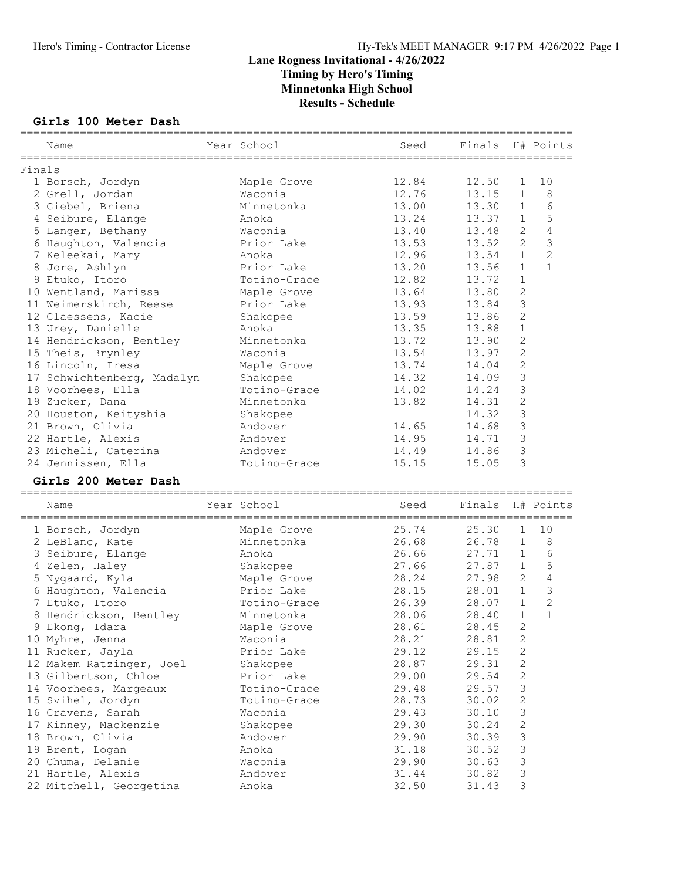#### Girls 100 Meter Dash

|        | Name<br>________________   | Year School  | Seed  | Finals  |                     | H# Points      |
|--------|----------------------------|--------------|-------|---------|---------------------|----------------|
| Finals |                            |              |       |         |                     |                |
|        | 1 Borsch, Jordyn           | Maple Grove  | 12.84 | 12.50   | 1                   | 10             |
|        | 2 Grell, Jordan            | Waconia      | 12.76 | 13.15   | 1                   | 8              |
|        | 3 Giebel, Briena           | Minnetonka   | 13.00 | 13.30   | $\mathbf 1$         | 6              |
|        | 4 Seibure, Elange          | Anoka        | 13.24 | 13.37   | $1\,$               | 5              |
|        | 5 Langer, Bethany          | Waconia      | 13.40 | 13.48   | $\mathbf{2}$        | 4              |
|        | 6 Haughton, Valencia       | Prior Lake   | 13.53 | 13.52   | $\overline{2}$      | 3              |
|        | 7 Keleekai, Mary           | Anoka        | 12.96 | 13.54   | $\mathbf{1}$        | $\overline{c}$ |
|        | 8 Jore, Ashlyn             | Prior Lake   | 13.20 | 13.56   | $\mathbf{1}$        | $\mathbf{1}$   |
|        | 9 Etuko, Itoro             | Totino-Grace | 12.82 | 13.72   | $1\,$               |                |
|        | 10 Wentland, Marissa       | Maple Grove  | 13.64 | 13.80   | $\mathbf{2}$        |                |
|        | 11 Weimerskirch, Reese     | Prior Lake   | 13.93 | 13.84   | 3                   |                |
|        | 12 Claessens, Kacie        | Shakopee     | 13.59 | 13.86   | $\overline{2}$      |                |
|        | 13 Urey, Danielle          | Anoka        | 13.35 | 13.88   | $\mathbf{1}$        |                |
|        | 14 Hendrickson, Bentley    | Minnetonka   | 13.72 | 13.90   | $\overline{c}$      |                |
|        | 15 Theis, Brynley          | Waconia      | 13.54 | 13.97   | $\overline{c}$      |                |
|        | 16 Lincoln, Iresa          | Maple Grove  | 13.74 | 14.04   | $\overline{c}$      |                |
|        | 17 Schwichtenberg, Madalyn | Shakopee     | 14.32 | 14.09   | 3                   |                |
|        | 18 Voorhees, Ella          | Totino-Grace | 14.02 | 14.24   | 3                   |                |
|        | 19 Zucker, Dana            | Minnetonka   | 13.82 | 14.31   | $\mathbf{2}$        |                |
|        | 20 Houston, Keityshia      | Shakopee     |       | 14.32   | 3                   |                |
|        | 21 Brown, Olivia           | Andover      | 14.65 | 14.68   | $\mathsf 3$         |                |
|        | 22 Hartle, Alexis          | Andover      | 14.95 | 14.71   | $\mathsf 3$         |                |
|        | 23 Micheli, Caterina       | Andover      | 14.49 | 14.86   | 3                   |                |
|        | 24 Jennissen, Ella         | Totino-Grace | 15.15 | 15.05   | 3                   |                |
|        | Girls 200 Meter Dash       |              |       |         |                     |                |
|        | Name                       | Year School  | Seed  | Finals  |                     | H# Points      |
|        |                            |              |       | _______ |                     |                |
|        | 1 Borsch, Jordyn           | Maple Grove  | 25.74 | 25.30   | 1                   | 10             |
|        | 2 LeBlanc, Kate            | Minnetonka   | 26.68 | 26.78   | $\mathbf 1$         | 8              |
|        | 3 Seibure, Elange          | Anoka        | 26.66 | 27.71   | 1                   | 6              |
|        | 4 Zelen, Haley             | Shakopee     | 27.66 | 27.87   | $\mathbf 1$         | 5              |
|        | 5 Nygaard, Kyla            | Maple Grove  | 28.24 | 27.98   | $\mathbf{2}$        | $\sqrt{4}$     |
|        | 6 Haughton, Valencia       | Prior Lake   | 28.15 | 28.01   | $\mathbf{1}$        | $\mathcal{S}$  |
|        | 7 Etuko, Itoro             | Totino-Grace | 26.39 | 28.07   | $\mathbf{1}$        | $\overline{c}$ |
|        | 8 Hendrickson, Bentley     | Minnetonka   | 28.06 | 28.40   | $\mathbf{1}$        | $\mathbf{1}$   |
|        | 9 Ekong, Idara             | Maple Grove  | 28.61 | 28.45   | 2                   |                |
|        | 10 Myhre, Jenna            | Waconia      | 28.21 | 28.81   | 2                   |                |
|        | 11 Rucker, Jayla           | Prior Lake   | 29.12 | 29.15   | $\mathbf{2}$        |                |
|        | 12 Makem Ratzinger, Joel   | Shakopee     | 28.87 | 29.31   | $\sqrt{2}$          |                |
|        | 13 Gilbertson, Chloe       | Prior Lake   | 29.00 | 29.54   | 2                   |                |
|        | 14 Voorhees, Margeaux      | Totino-Grace | 29.48 | 29.57   | 3                   |                |
|        | 15 Svihel, Jordyn          | Totino-Grace | 28.73 | 30.02   | $\mathbf{2}$        |                |
|        | 16 Cravens, Sarah          | Waconia      | 29.43 | 30.10   | $\mathsf 3$         |                |
|        | 17 Kinney, Mackenzie       | Shakopee     | 29.30 | 30.24   | $\mathbf{2}$        |                |
|        | 18 Brown, Olivia           | Andover      | 29.90 | 30.39   | 3                   |                |
|        | 19 Brent, Logan            | Anoka        | 31.18 | 30.52   | 3<br>$\mathfrak{Z}$ |                |
|        | 20 Chuma, Delanie          | Waconia      | 29.90 | 30.63   | $\mathfrak{Z}$      |                |
|        | 21 Hartle, Alexis          | Andover      | 31.44 | 30.82   |                     |                |
|        | 22 Mitchell, Georgetina    | Anoka        | 32.50 | 31.43   | 3                   |                |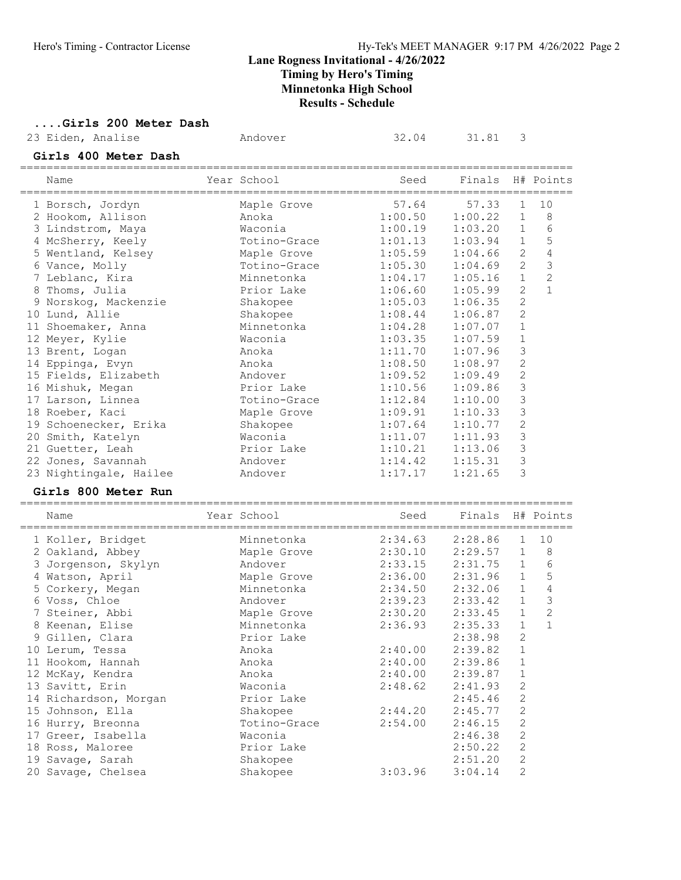# ....Girls 200 Meter Dash<br>23 Eiden, Analise

| 23 Eiden, Analise          | Andover      | 32.04   | 31.81   | 3              |                |
|----------------------------|--------------|---------|---------|----------------|----------------|
| Girls 400 Meter Dash       |              |         |         |                |                |
| Name                       | Year School  | Seed    | Finals  |                | H# Points      |
| 1 Borsch, Jordyn           | Maple Grove  | 57.64   | 57.33   | 1              | 10             |
| 2 Hookom, Allison          | Anoka        | 1:00.50 | 1:00.22 | $\mathbf 1$    | 8              |
| 3 Lindstrom, Maya          | Waconia      | 1:00.19 | 1:03.20 | $\mathbf 1$    | 6              |
| 4 McSherry, Keely          | Totino-Grace | 1:01.13 | 1:03.94 | $\mathbf{1}$   | 5              |
| 5 Wentland, Kelsey         | Maple Grove  | 1:05.59 | 1:04.66 | 2              | 4              |
| 6 Vance, Molly             | Totino-Grace | 1:05.30 | 1:04.69 | 2              | 3              |
| 7 Leblanc, Kira            | Minnetonka   | 1:04.17 | 1:05.16 | $\mathbf{1}$   | $\overline{c}$ |
| 8 Thoms, Julia             | Prior Lake   | 1:06.60 | 1:05.99 | $\overline{2}$ | $\mathbf{1}$   |
| 9 Norskog, Mackenzie       | Shakopee     | 1:05.03 | 1:06.35 | $\mathbf{2}$   |                |
| 10 Lund, Allie             | Shakopee     | 1:08.44 | 1:06.87 | $\overline{2}$ |                |
| 11 Shoemaker, Anna         | Minnetonka   | 1:04.28 | 1:07.07 | $\mathbf 1$    |                |
| 12 Meyer, Kylie            | Waconia      | 1:03.35 | 1:07.59 | $\mathbf 1$    |                |
| 13 Brent, Logan            | Anoka        | 1:11.70 | 1:07.96 | 3              |                |
| 14 Eppinga, Evyn           | Anoka        | 1:08.50 | 1:08.97 | $\overline{c}$ |                |
| 15 Fields, Elizabeth       | Andover      | 1:09.52 | 1:09.49 | $\overline{c}$ |                |
| 16 Mishuk, Megan           | Prior Lake   | 1:10.56 | 1:09.86 | $\mathsf 3$    |                |
| 17 Larson, Linnea          | Totino-Grace | 1:12.84 | 1:10.00 | 3              |                |
| 18 Roeber, Kaci            | Maple Grove  | 1:09.91 | 1:10.33 | 3              |                |
| 19 Schoenecker, Erika      | Shakopee     | 1:07.64 | 1:10.77 | $\mathbf{2}$   |                |
| 20 Smith, Katelyn          | Waconia      | 1:11.07 | 1:11.93 | 3              |                |
| 21 Guetter, Leah           | Prior Lake   | 1:10.21 | 1:13.06 | $\mathsf 3$    |                |
| 22 Jones, Savannah         | Andover      | 1:14.42 | 1:15.31 | 3              |                |
| 23 Nightingale, Hailee     | Andover      | 1:17.17 | 1:21.65 | 3              |                |
| <b>Girls 800 Meter Run</b> |              |         |         |                |                |
| Name                       | Year School  | Seed    | Finals  |                | H# Points      |
| 1 Koller, Bridget          | Minnetonka   | 2:34.63 | 2:28.86 | 1              | 10             |
| 2 Oakland, Abbey           | Maple Grove  | 2:30.10 | 2:29.57 | 1              | 8              |
| 3 Jorgenson, Skylyn        | Andover      | 2:33.15 | 2:31.75 | 1              | 6              |
| 4 Watson, April            | Maple Grove  | 2:36.00 | 2:31.96 | $\mathbf 1$    | 5              |
| 5 Corkery, Megan           | Minnetonka   | 2:34.50 | 2:32.06 | $\mathbf 1$    | $\overline{4}$ |
| 6 Voss, Chloe              | Andover      | 2:39.23 | 2:33.42 | $\mathbf{1}$   | 3              |
| 7 Steiner, Abbi            | Maple Grove  | 2:30.20 | 2:33.45 | $\mathbf{1}$   | $\overline{2}$ |
| 8 Keenan, Elise            | Minnetonka   | 2:36.93 | 2:35.33 | 1              | $\mathbf{1}$   |
| 9 Gillen, Clara            | Prior Lake   |         | 2:38.98 | 2              |                |
| 10 Lerum, Tessa            | Anoka        | 2:40.00 | 2:39.82 | $\mathbf 1$    |                |
| 11 Hookom, Hannah          | Anoka        | 2:40.00 | 2:39.86 | $\mathbf 1$    |                |
| 12 McKay, Kendra           | Anoka        | 2:40.00 | 2:39.87 | $\mathbf 1$    |                |
| 13 Savitt, Erin            | Waconia      | 2:48.62 | 2:41.93 | $\sqrt{2}$     |                |
| 14 Richardson, Morgan      | Prior Lake   |         | 2:45.46 | $\mathbf{2}$   |                |
| 15 Johnson, Ella           | Shakopee     | 2:44.20 | 2:45.77 | 2              |                |
| 16 Hurry, Breonna          | Totino-Grace | 2:54.00 | 2:46.15 | $\mathbf{2}$   |                |
| 17 Greer, Isabella         | Waconia      |         | 2:46.38 | $\mathbf{2}$   |                |
| 18 Ross, Maloree           | Prior Lake   |         | 2:50.22 | $\mathbf{2}$   |                |
| 19 Savage, Sarah           | Shakopee     |         | 2:51.20 | $\sqrt{2}$     |                |
| 20 Savage, Chelsea         | Shakopee     | 3:03.96 | 3:04.14 | 2              |                |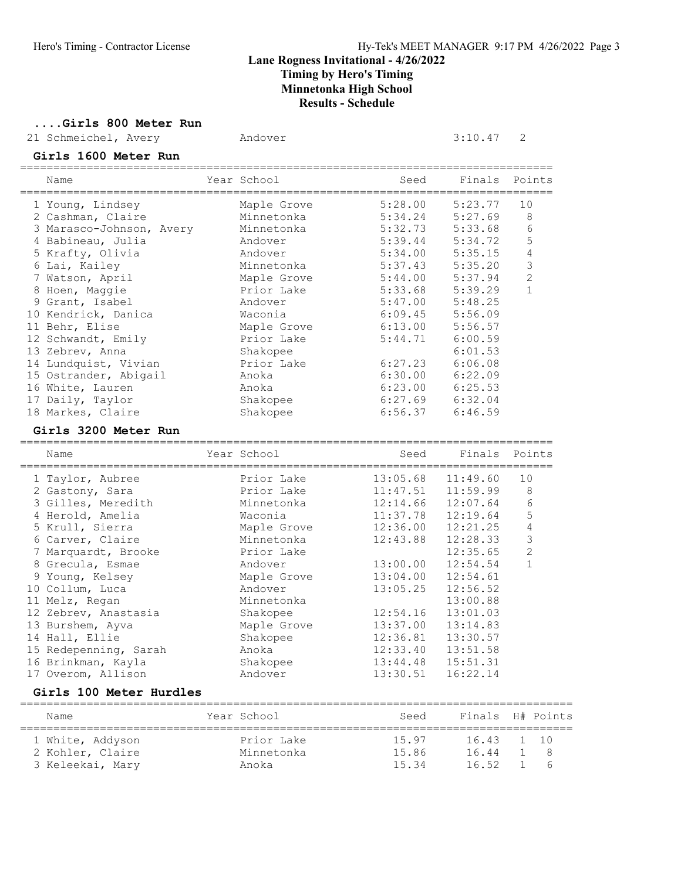#### ....Girls 800 Meter Run

Girls 1600 Meter Run

21 Schmeichel, Avery Mandover 3:10.47 2

| Name                                                             | Year School | Seed                               | Finals   | Points         |
|------------------------------------------------------------------|-------------|------------------------------------|----------|----------------|
| 1 Young, Lindsey                                                 | Maple Grove | 5:28.00                            | 5:23.77  | 10             |
| 2 Cashman, Claire                                                | Minnetonka  | 5:34.24                            | 5:27.69  | 8              |
| 3 Marasco-Johnson, Avery                                         | Minnetonka  | 5:32.73                            | 5:33.68  | 6              |
| 4 Babineau, Julia                                                | Andover     | 5:39.44                            | 5:34.72  | 5              |
| 5 Krafty, Olivia                                                 | Andover     | 5:34.00                            | 5:35.15  | 4              |
| 6 Lai, Kailey                                                    | Minnetonka  | 5:37.43                            | 5:35.20  | 3              |
| 7 Watson, April                                                  | Maple Grove | 5:44.00                            | 5:37.94  | $\overline{2}$ |
| 8 Hoen, Maggie                                                   | Prior Lake  | 5:33.68                            | 5:39.29  | $\mathbf{1}$   |
| 9 Grant, Isabel                                                  | Andover     | 5:47.00                            | 5:48.25  |                |
| 10 Kendrick, Danica                                              | Waconia     | 6:09.45                            | 5:56.09  |                |
| 11 Behr, Elise                                                   | Maple Grove | 6:13.00                            | 5:56.57  |                |
| 12 Schwandt, Emily                                               | Prior Lake  | 5:44.71                            | 6:00.59  |                |
| 13 Zebrev, Anna                                                  | Shakopee    |                                    | 6:01.53  |                |
| 14 Lundquist, Vivian                                             | Prior Lake  | 6:27.23                            | 6:06.08  |                |
| 15 Ostrander, Abigail                                            | Anoka       | 6:30.00                            | 6:22.09  |                |
| 16 White, Lauren                                                 | Anoka       | 6:23.00                            | 6:25.53  |                |
| 17 Daily, Taylor                                                 | Shakopee    | 6:27.69                            | 6:32.04  |                |
| 18 Markes, Claire                                                | Shakopee    | 6:56.37                            | 6:46.59  |                |
| Girls 3200 Meter Run                                             |             |                                    |          |                |
|                                                                  |             |                                    |          |                |
| Name                                                             | Year School | Seed                               | Finals   | Points         |
| 1 Taylor, Aubree                                                 | Prior Lake  | 13:05.68                           | 11:49.60 | 10             |
| 2 Gastony, Sara                                                  | Prior Lake  |                                    | 11:59.99 | 8              |
| 3 Gilles, Meredith                                               | Minnetonka  | 11:47.51<br>12:14.66               | 12:07.64 | 6              |
| 4 Herold, Amelia                                                 | Waconia     | 11:37.78                           | 12:19.64 | 5              |
| 5 Krull, Sierra                                                  | Maple Grove | 12:36.00                           | 12:21.25 | $\overline{4}$ |
| 6 Carver, Claire                                                 | Minnetonka  | 12:43.88                           | 12:28.33 | $\mathsf 3$    |
| 7 Marquardt, Brooke                                              | Prior Lake  |                                    | 12:35.65 | $\mathbf{2}$   |
| 8 Grecula, Esmae                                                 | Andover     | 13:00.00                           | 12:54.54 | $\mathbf{1}$   |
| 9 Young, Kelsey                                                  | Maple Grove | 13:04.00                           | 12:54.61 |                |
| 10 Collum, Luca                                                  | Andover     | 13:05.25                           | 12:56.52 |                |
| 11 Melz, Regan                                                   | Minnetonka  |                                    | 13:00.88 |                |
| 12 Zebrev, Anastasia                                             | Shakopee    | 12:54.16                           | 13:01.03 |                |
| 13 Burshem, Ayva                                                 | Maple Grove | 13:37.00                           | 13:14.83 |                |
| 14 Hall, Ellie                                                   | Shakopee    | 12:36.81                           | 13:30.57 |                |
| 15 Redepenning, Sarah                                            | Anoka       | 12:33.40                           | 13:51.58 |                |
| 16 Brinkman, Kayla                                               | Shakopee    | 13:44.48                           | 15:51.31 |                |
| 17 Overom, Allison                                               | Andover     | 13:30.51                           | 16:22.14 |                |
| Girls 100 Meter Hurdles<br>_____________________________________ |             | ================================== |          |                |

| Name             | Year School | Seed  | Finals H# Points |     |
|------------------|-------------|-------|------------------|-----|
| 1 White, Addyson | Prior Lake  | 15.97 | 16.43 1 10       |     |
| 2 Kohler, Claire | Minnetonka  | 15.86 | 16.44            | -18 |
| 3 Keleekai, Mary | Anoka       | 15.34 | 16.52            |     |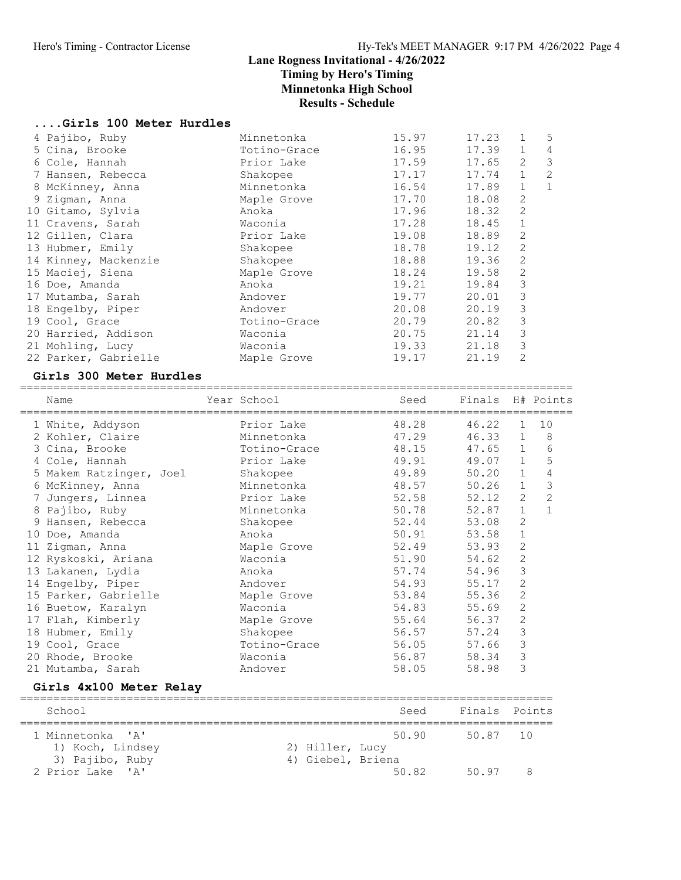### ....Girls 100 Meter Hurdles

| 4 Pajibo, Ruby       | Minnetonka   | 15.97 | 17.23 |                | 5              |
|----------------------|--------------|-------|-------|----------------|----------------|
| 5 Cina, Brooke       | Totino-Grace | 16.95 | 17.39 | $\mathbf{1}$   | 4              |
| 6 Cole, Hannah       | Prior Lake   | 17.59 | 17.65 | 2              | 3              |
| 7 Hansen, Rebecca    | Shakopee     | 17.17 | 17.74 | $\mathbf{1}$   | $\overline{2}$ |
| 8 McKinney, Anna     | Minnetonka   | 16.54 | 17.89 | $\mathbf{1}$   | $\mathbf{1}$   |
| 9 Zigman, Anna       | Maple Grove  | 17.70 | 18.08 | $\overline{2}$ |                |
| 10 Gitamo, Sylvia    | Anoka        | 17.96 | 18.32 | $\overline{2}$ |                |
| 11 Cravens, Sarah    | Waconia      | 17.28 | 18.45 | $\mathbf 1$    |                |
| 12 Gillen, Clara     | Prior Lake   | 19.08 | 18.89 | 2              |                |
| 13 Hubmer, Emily     | Shakopee     | 18.78 | 19.12 | 2              |                |
| 14 Kinney, Mackenzie | Shakopee     | 18.88 | 19.36 | 2              |                |
| 15 Maciej, Siena     | Maple Grove  | 18.24 | 19.58 | 2              |                |
| 16 Doe, Amanda       | Anoka        | 19.21 | 19.84 | 3              |                |
| 17 Mutamba, Sarah    | Andover      | 19.77 | 20.01 | 3              |                |
| 18 Engelby, Piper    | Andover      | 20.08 | 20.19 | 3              |                |
| 19 Cool, Grace       | Totino-Grace | 20.79 | 20.82 | 3              |                |
| 20 Harried, Addison  | Waconia      | 20.75 | 21.14 | 3              |                |
| 21 Mohling, Lucy     | Waconia      | 19.33 | 21.18 | 3              |                |
| 22 Parker, Gabrielle | Maple Grove  | 19.17 | 21.19 | 2              |                |
|                      |              |       |       |                |                |

#### Girls 300 Meter Hurdles

| Name<br>======================================               | Year School       | Seed  | Finals H# Points |                |                |
|--------------------------------------------------------------|-------------------|-------|------------------|----------------|----------------|
| 1 White, Addyson                                             | Prior Lake        | 48.28 | 46.22            | $\mathbf 1$    | 10             |
| 2 Kohler, Claire                                             | Minnetonka        | 47.29 | 46.33            | 1              | 8              |
| 3 Cina, Brooke                                               | Totino-Grace      | 48.15 | 47.65            | $\mathbf{1}$   | 6              |
| 4 Cole, Hannah                                               | Prior Lake        | 49.91 | 49.07            | $\mathbf{1}$   | 5              |
| 5 Makem Ratzinger, Joel                                      | Shakopee          | 49.89 | 50.20            | $\mathbf{1}$   | $\overline{4}$ |
| 6 McKinney, Anna                                             | Minnetonka        | 48.57 | 50.26            | $\mathbf{1}$   | 3              |
| 7 Jungers, Linnea                                            | Prior Lake        | 52.58 | 52.12            | $\mathbf{2}$   | $\overline{c}$ |
| 8 Pajibo, Ruby                                               | Minnetonka        | 50.78 | 52.87            | $\mathbf{1}$   | $\mathbf{1}$   |
| Hansen, Rebecca<br>9                                         | Shakopee          | 52.44 | 53.08            | $\overline{2}$ |                |
| 10 Doe, Amanda                                               | Anoka             | 50.91 | 53.58            | $\mathbf 1$    |                |
| 11 Zigman, Anna                                              | Maple Grove       | 52.49 | 53.93            | $\sqrt{2}$     |                |
| 12 Ryskoski, Ariana                                          | Waconia           | 51.90 | 54.62            | $\overline{c}$ |                |
| 13 Lakanen, Lydia                                            | Anoka             | 57.74 | 54.96            | $\mathfrak{Z}$ |                |
| 14 Engelby, Piper                                            | Andover           | 54.93 | 55.17            | $\overline{c}$ |                |
| 15 Parker, Gabrielle                                         | Maple Grove       | 53.84 | 55.36            | $\overline{2}$ |                |
| 16 Buetow, Karalyn                                           | Waconia           | 54.83 | 55.69            | $\mathbf{2}$   |                |
| 17 Flah, Kimberly                                            | Maple Grove       | 55.64 | 56.37            | $\sqrt{2}$     |                |
| 18 Hubmer, Emily                                             | Shakopee          | 56.57 | 57.24            | $\mathfrak{Z}$ |                |
| 19 Cool, Grace                                               | Totino-Grace      | 56.05 | 57.66            | $\mathfrak{Z}$ |                |
| 20 Rhode, Brooke                                             | Waconia           | 56.87 | 58.34            | $\mathsf 3$    |                |
| 21 Mutamba, Sarah                                            | Andover           | 58.05 | 58.98            | 3              |                |
| Girls 4x100 Meter Relay                                      |                   |       |                  |                |                |
| School                                                       |                   | Seed  | Finals           |                | Points         |
| ===============<br>1 Minnetonka<br>$^{\prime}$ A $^{\prime}$ |                   | 50.90 | 50.87            | 10             |                |
| 1) Koch, Lindsey                                             | 2) Hiller, Lucy   |       |                  |                |                |
| 3) Pajibo, Ruby                                              | 4) Giebel, Briena |       |                  |                |                |
| 2 Prior Lake 'A'                                             |                   | 50.82 | 50.97            |                | 8              |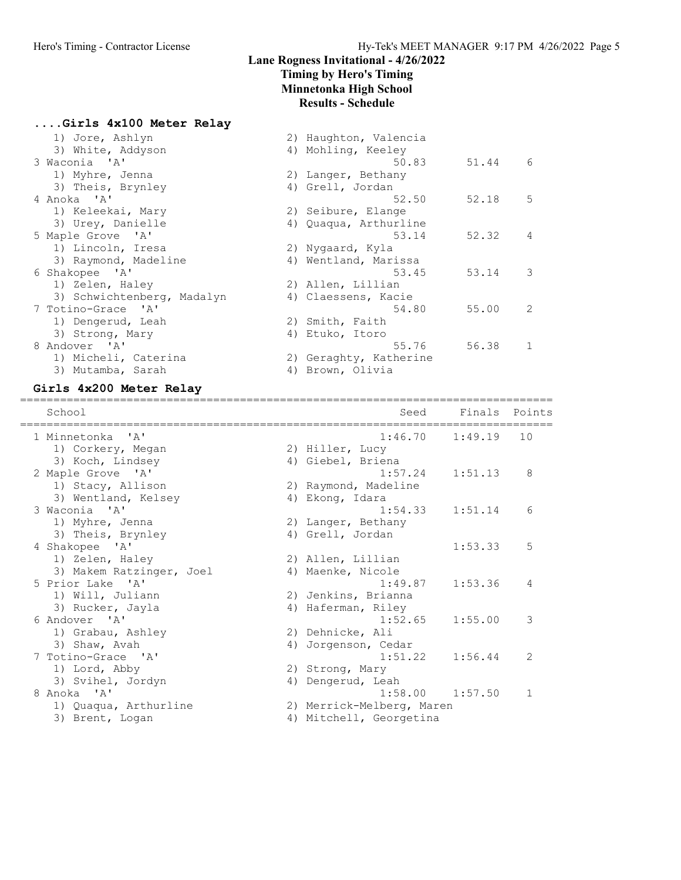# Lane Rogness Invitational - 4/26/2022

# Timing by Hero's Timing

Minnetonka High School

# Results - Schedule

| Girls 4x100 Meter Relay |  |
|-------------------------|--|
|-------------------------|--|

| 1) Jore, Ashlyn<br>3) White, Addyson | 2) Haughton, Valencia<br>4) Mohling, Keeley |       |              |
|--------------------------------------|---------------------------------------------|-------|--------------|
| 3 Waconia 'A'                        | 50.83                                       | 51.44 | -6           |
| 1) Myhre, Jenna                      | 2) Langer, Bethany                          |       |              |
| 3) Theis, Brynley                    | 4) Grell, Jordan                            |       |              |
| 4 Anoka 'A'                          | 52.50                                       | 52.18 | 5            |
| 1) Keleekai, Mary                    | 2) Seibure, Elange                          |       |              |
| 3) Urey, Danielle                    | 4) Quaqua, Arthurline                       |       |              |
| 5 Maple Grove 'A'                    | 53.14                                       | 52.32 | 4            |
| 1) Lincoln, Iresa                    | 2) Nygaard, Kyla                            |       |              |
| 3) Raymond, Madeline                 | 4) Wentland, Marissa                        |       |              |
| 6 Shakopee 'A'                       | 53.45                                       | 53.14 | 3            |
| 1) Zelen, Haley                      | 2) Allen, Lillian                           |       |              |
| 3) Schwichtenberg, Madalyn           | 4) Claessens, Kacie                         |       |              |
| 7 Totino-Grace 'A'                   | 54.80                                       | 55.00 | 2            |
| 1) Dengerud, Leah                    | 2) Smith, Faith                             |       |              |
| 3) Strong, Mary                      | 4) Etuko, Itoro                             |       |              |
| 8 Andover 'A'                        | 55.76                                       | 56.38 | $\mathbf{1}$ |
| 1) Micheli, Caterina                 | 2) Geraghty, Katherine                      |       |              |
| 3) Mutamba, Sarah                    | 4) Brown, Olivia                            |       |              |

# Girls 4x200 Meter Relay

| School                   | Seed                      | Finals              | Points       |
|--------------------------|---------------------------|---------------------|--------------|
| 1 Minnetonka 'A'         | 1:46.70                   | 1:49.19             | 10           |
| 1) Corkery, Megan        | 2) Hiller, Lucy           |                     |              |
| 3) Koch, Lindsey         | 4) Giebel, Briena         |                     |              |
| 2 Maple Grove 'A'        | 1:57.24                   | 1:51.13             | 8            |
| 1) Stacy, Allison        | 2) Raymond, Madeline      |                     |              |
| 3) Wentland, Kelsey      | 4) Ekong, Idara           |                     |              |
| 3 Waconia 'A'            | 1:54.33                   | 1:51.14             | 6            |
| 1) Myhre, Jenna          | 2) Langer, Bethany        |                     |              |
| 3) Theis, Brynley        | 4) Grell, Jordan          |                     |              |
| 4 Shakopee 'A'           |                           | 1:53.33             | 5            |
| 1) Zelen, Haley          | 2) Allen, Lillian         |                     |              |
| 3) Makem Ratzinger, Joel | 4) Maenke, Nicole         |                     |              |
| 5 Prior Lake 'A'         | 1:49.87                   | 1:53.36             | 4            |
| 1) Will, Juliann         | 2) Jenkins, Brianna       |                     |              |
| 3) Rucker, Jayla         | 4) Haferman, Riley        |                     |              |
| 6 Andover 'A'            | 1:52.65                   | 1:55.00             | 3            |
| 1) Grabau, Ashley        | 2) Dehnicke, Ali          |                     |              |
| 3) Shaw, Avah            | 4) Jorgenson, Cedar       |                     |              |
| 7 Totino-Grace 'A'       | 1:51.22                   | 1:56.44             | 2            |
| 1) Lord, Abby            | 2) Strong, Mary           |                     |              |
| 3) Svihel, Jordyn        | 4) Dengerud, Leah         |                     |              |
| 8 Anoka 'A'              |                           | $1:58.00$ $1:57.50$ | $\mathbf{1}$ |
| 1) Quaqua, Arthurline    | 2) Merrick-Melberg, Maren |                     |              |
| 3) Brent, Logan          | 4) Mitchell, Georgetina   |                     |              |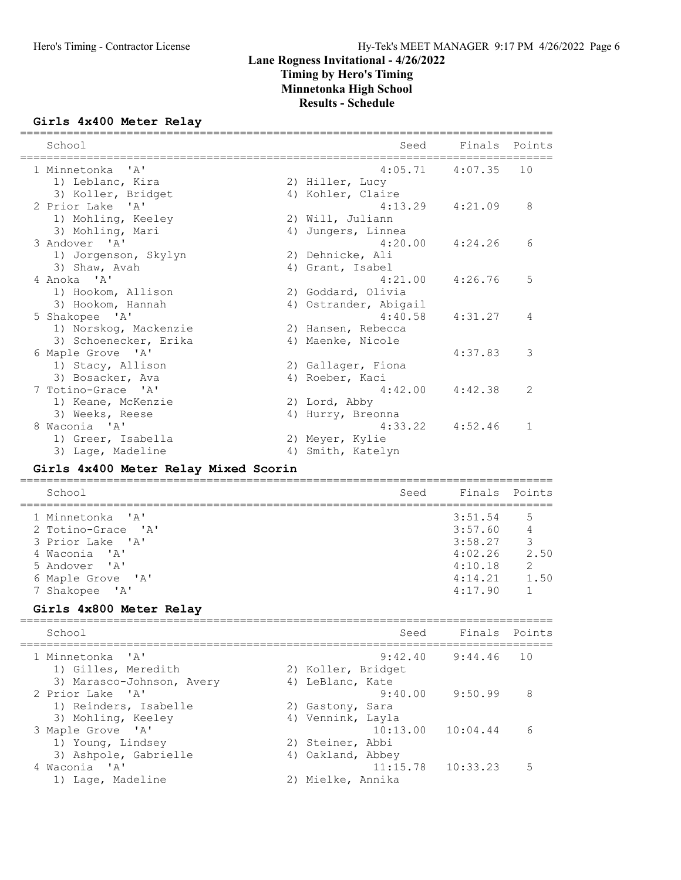#### Girls 4x400 Meter Relay

| School                                                       | Seed                                                   | Finals              | Points        |
|--------------------------------------------------------------|--------------------------------------------------------|---------------------|---------------|
| 1 Minnetonka 'A'<br>1) Leblanc, Kira                         | 2) Hiller, Lucy                                        | $4:05.71$ $4:07.35$ | 10            |
| 3) Koller, Bridget<br>2 Prior Lake 'A'                       | 4) Kohler, Claire<br>4:13.29                           | 4:21.09             | 8             |
| 1) Mohling, Keeley<br>3) Mohling, Mari                       | 2) Will, Juliann<br>4) Jungers, Linnea                 |                     |               |
| 3 Andover 'A'<br>1) Jorgenson, Skylyn<br>3) Shaw, Avah       | 4:20.00<br>2) Dehnicke, Ali<br>4) Grant, Isabel        | 4:24.26             | 6             |
| 4 Anoka 'A'<br>1) Hookom, Allison                            | 4:21.00<br>2) Goddard, Olivia                          | 4:26.76             | 5             |
| 3) Hookom, Hannah<br>5 Shakopee 'A'<br>1) Norskog, Mackenzie | 4) Ostrander, Abigail<br>4:40.58<br>2) Hansen, Rebecca | 4:31.27             | 4             |
| 3) Schoenecker, Erika<br>6 Maple Grove 'A'                   | 4) Maenke, Nicole                                      | 4:37.83             | 3             |
| 1) Stacy, Allison<br>3) Bosacker, Ava<br>7 Totino-Grace 'A'  | 2) Gallager, Fiona<br>4) Roeber, Kaci<br>4:42.00       | 4:42.38             | $\mathcal{L}$ |
| 1) Keane, McKenzie<br>3) Weeks, Reese                        | 2) Lord, Abby<br>Hurry, Breonna<br>4)                  |                     |               |
| 8 Waconia 'A'<br>1) Greer, Isabella<br>3) Lage, Madeline     | 4:33.22<br>2) Meyer, Kylie<br>4) Smith, Katelyn        | 4:52.46             | 1             |

### Girls 4x400 Meter Relay Mixed Scorin

| School<br>Seed                                                                                                    |                                                                | Finals Points                                |
|-------------------------------------------------------------------------------------------------------------------|----------------------------------------------------------------|----------------------------------------------|
| 1 Minnetonka 'A'<br>2 Totino-Grace 'A'<br>3 Prior Lake 'A'<br>4 Waconia 'A'<br>5 Andover 'A'<br>6 Maple Grove 'A' | 3:51.54<br>3:57.60<br>3:58.27<br>4:02.26<br>4:10.18<br>4:14.21 | 5<br>4<br>3<br>2.50<br>$\mathcal{L}$<br>1.50 |
| 7 Shakopee 'A'                                                                                                    | 4:17.90                                                        |                                              |

#### Girls 4x800 Meter Relay

| School                                                                 | Seed                                                            | Finals Points       |    |
|------------------------------------------------------------------------|-----------------------------------------------------------------|---------------------|----|
| 1 Minnetonka 'A'<br>1) Gilles, Meredith                                | 2) Koller, Bridget                                              | $9:42.40$ $9:44.46$ | 10 |
| 3) Marasco-Johnson, Avery<br>2 Prior Lake 'A'<br>1) Reinders, Isabelle | 4) LeBlanc, Kate<br>2) Gastony, Sara                            | $9:40.00$ $9:50.99$ | 8  |
| 3) Mohling, Keeley<br>3 Maple Grove 'A'<br>1) Young, Lindsey           | 4) Vennink, Layla<br>$10:13.00$ $10:04.44$<br>2) Steiner, Abbi  |                     | 6  |
| 3) Ashpole, Gabrielle<br>4 Waconia 'A'<br>1) Lage, Madeline            | 4) Oakland, Abbey<br>$11:15.78$ $10:33.23$<br>2) Mielke, Annika |                     | 5  |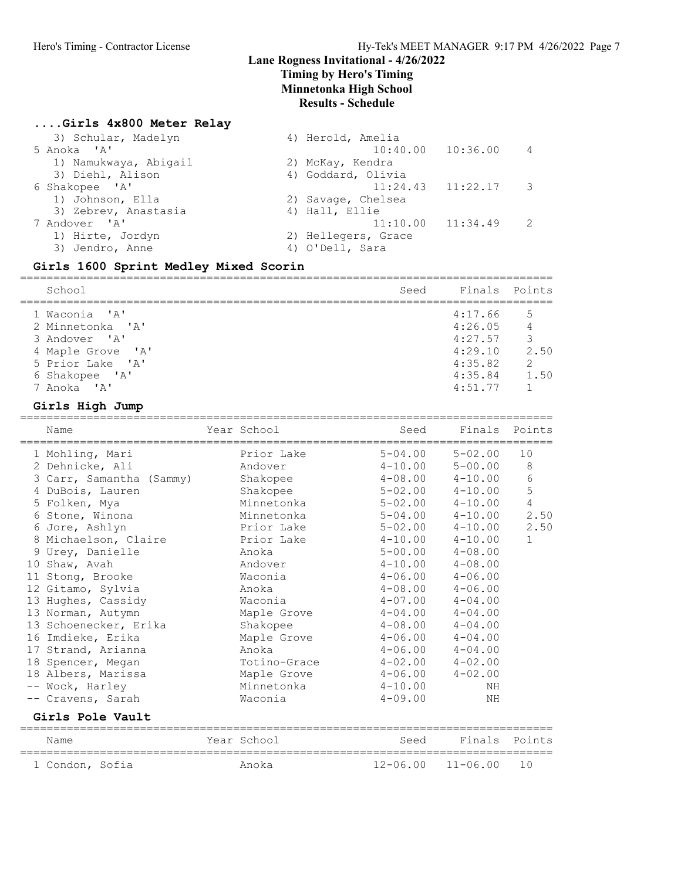### ....Girls 4x800 Meter Relay

| 3) Schular, Madelyn   | 4) Herold, Amelia     |                         |                |
|-----------------------|-----------------------|-------------------------|----------------|
| 5 Anoka 'A'           |                       | $10:40.00$ $10:36.00$   | $\overline{4}$ |
| 1) Namukwaya, Abigail | 2) McKay, Kendra      |                         |                |
| 3) Diehl, Alison      | 4) Goddard, Olivia    |                         |                |
| 6 Shakopee 'A'        |                       | $11:24.43$ $11:22.17$ 3 |                |
| 1) Johnson, Ella      | 2) Savage, Chelsea    |                         |                |
| 3) Zebrev, Anastasia  | 4) Hall, Ellie        |                         |                |
| 7 Andover 'A'         | $11:10.00$ $11:34.49$ |                         | -2             |
| 1) Hirte, Jordyn      | 2) Hellegers, Grace   |                         |                |
| 3) Jendro, Anne       | 4) O'Dell, Sara       |                         |                |
|                       |                       |                         |                |

# Girls 1600 Sprint Medley Mixed Scorin

| School            | Seed    | Finals Points |
|-------------------|---------|---------------|
| 1 Waconia 'A'     | 4:17.66 | .5            |
| 2 Minnetonka 'A'  | 4:26.05 | 4             |
| 3 Andover 'A'     | 4:27.57 | 3             |
| 4 Maple Grove 'A' | 4:29.10 | 2.50          |
| 5 Prior Lake 'A'  | 4:35.82 | $\mathcal{L}$ |
| 6 Shakopee 'A'    | 4:35.84 | 1.50          |
| 7 Anoka 'A'       | 4:51.77 |               |

#### Girls High Jump

|    | Name                     | Year School  | Seed         | Finals       | Points       |
|----|--------------------------|--------------|--------------|--------------|--------------|
|    | 1 Mohling, Mari          | Prior Lake   | $5 - 04.00$  | $5 - 02.00$  | 10           |
|    | 2 Dehnicke, Ali          | Andover      | $4 - 10.00$  | $5 - 00.00$  | $\,8\,$      |
|    | 3 Carr, Samantha (Sammy) | Shakopee     | $4 - 08.00$  | $4 - 10.00$  | 6            |
|    | 4 DuBois, Lauren         | Shakopee     | $5 - 02.00$  | $4 - 10.00$  | 5            |
|    | 5 Folken, Mya            | Minnetonka   | $5 - 02.00$  | $4 - 10.00$  | 4            |
|    | 6 Stone, Winona          | Minnetonka   | $5 - 04.00$  | $4 - 10.00$  | 2.50         |
|    | 6 Jore, Ashlyn           | Prior Lake   | $5 - 02.00$  | $4 - 10.00$  | 2.50         |
|    | 8 Michaelson, Claire     | Prior Lake   | $4 - 10.00$  | $4 - 10.00$  | $\mathbf{1}$ |
|    | 9 Urey, Danielle         | Anoka        | $5 - 00.00$  | $4 - 08.00$  |              |
|    | 10 Shaw, Avah            | Andover      | $4 - 10.00$  | $4 - 08.00$  |              |
| 11 | Stong, Brooke            | Waconia      | $4 - 06.00$  | $4 - 06.00$  |              |
|    | 12 Gitamo, Sylvia        | Anoka        | $4 - 08.00$  | $4 - 06.00$  |              |
|    | 13 Hughes, Cassidy       | Waconia      | $4 - 07.00$  | $4 - 04.00$  |              |
|    | 13 Norman, Autymn        | Maple Grove  | $4 - 04.00$  | $4 - 04.00$  |              |
|    | 13 Schoenecker, Erika    | Shakopee     | $4 - 08.00$  | $4 - 04.00$  |              |
|    | 16 Imdieke, Erika        | Maple Grove  | $4 - 06.00$  | $4 - 04.00$  |              |
|    | 17 Strand, Arianna       | Anoka        | $4 - 06.00$  | $4 - 04.00$  |              |
|    | 18 Spencer, Megan        | Totino-Grace | $4 - 02.00$  | $4 - 02.00$  |              |
|    | 18 Albers, Marissa       | Maple Grove  | $4 - 06.00$  | $4 - 02.00$  |              |
|    | -- Wock, Harley          | Minnetonka   | $4 - 10.00$  | NH           |              |
|    | -- Cravens, Sarah        | Waconia      | $4 - 09.00$  | ΝH           |              |
|    | Girls Pole Vault         |              |              |              |              |
|    | Name                     | Year School  | Seed         | Finals       | Points       |
|    | 1 Condon, Sofia          | Anoka        | $12 - 06.00$ | $11 - 06.00$ | 10           |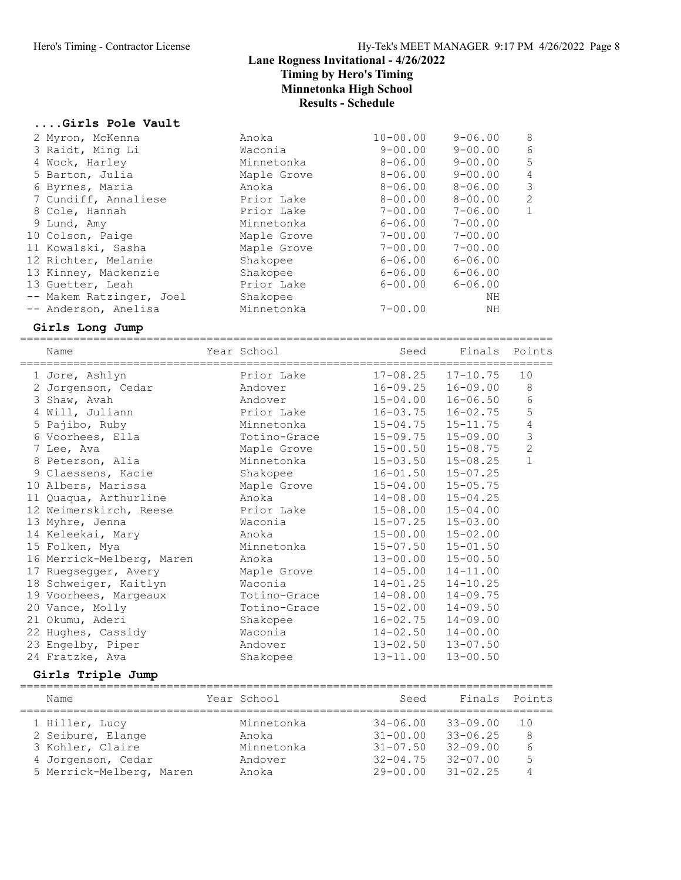#### ....Girls Pole Vault

| 2 Myron, McKenna         | Anoka       | $10 - 00.00$ | $9 - 06.00$ | - 8          |
|--------------------------|-------------|--------------|-------------|--------------|
| 3 Raidt, Ming Li         | Waconia     | $9 - 00.00$  | $9 - 00.00$ | 6            |
| 4 Wock, Harley           | Minnetonka  | $8 - 06.00$  | $9 - 00.00$ | 5            |
| 5 Barton, Julia          | Maple Grove | $8 - 06.00$  | $9 - 00.00$ | 4            |
| 6 Byrnes, Maria          | Anoka       | $8 - 06.00$  | $8 - 06.00$ | 3            |
| 7 Cundiff, Annaliese     | Prior Lake  | $8 - 00.00$  | $8 - 00.00$ | 2            |
| 8 Cole, Hannah           | Prior Lake  | 7-00.00      | $7 - 06.00$ | $\mathbf{1}$ |
| 9 Lund, Amy              | Minnetonka  | $6 - 06.00$  | $7 - 00.00$ |              |
| 10 Colson, Paige         | Maple Grove | $7 - 00.00$  | $7 - 00.00$ |              |
| 11 Kowalski, Sasha       | Maple Grove | $7 - 00.00$  | $7 - 00.00$ |              |
| 12 Richter, Melanie      | Shakopee    | $6 - 06.00$  | $6 - 06.00$ |              |
| 13 Kinney, Mackenzie     | Shakopee    | $6 - 06.00$  | $6 - 06.00$ |              |
| 13 Guetter, Leah         | Prior Lake  | $6 - 00.00$  | $6 - 06.00$ |              |
| -- Makem Ratzinger, Joel | Shakopee    |              | ΝH          |              |
| -- Anderson, Anelisa     | Minnetonka  | $7 - 00.00$  | ΝH          |              |

#### Girls Long Jump

================================================================================ Name Year School Seed Finals Points ================================================================================ 1 Jore, Ashlyn Prior Lake 17-08.25 17-10.75 10 2 Jorgenson, Cedar Andover 16-09.25 16-09.00 8 3 Shaw, Avah Andover 15-04.00 16-06.50 6 4 Will, Juliann Prior Lake 16-03.75 16-02.75 5 5 Pajibo, Ruby Minnetonka 15-04.75 15-11.75 4 6 Voorhees, Ella Totino-Grace 15-09.75 15-09.00 3 7 Lee, Ava Maple Grove 15-00.50 15-08.75 2 8 Peterson, Alia Minnetonka 15-03.50 15-08.25 1 9 Claessens, Kacie Shakopee 16-01.50 15-07.25 10 Albers, Marissa Maple Grove 15-04.00 15-05.75 11 Quaqua, Arthurline Anoka 14-08.00 15-04.25 12 Weimerskirch, Reese Prior Lake 15-08.00 15-04.00 13 Myhre, Jenna Waconia 15-07.25 15-03.00 14 Keleekai, Mary Anoka 15-00.00 15-02.00 15 Folken, Mya Minnetonka 15-07.50 15-01.50 16 Merrick-Melberg, Maren Anoka 13-00.00 15-00.50 17 Ruegsegger, Avery Maple Grove 14-05.00 14-11.00 18 Schweiger, Kaitlyn Waconia 14-01.25 14-10.25 19 Voorhees, Margeaux Totino-Grace 14-08.00 14-09.75 20 Vance, Molly Totino-Grace 15-02.00 14-09.50 21 Okumu, Aderi Shakopee 16-02.75 14-09.00 22 Hughes, Cassidy Waconia 14-02.50 14-00.00 23 Engelby, Piper Andover 13-02.50 13-07.50 24 Fratzke, Ava Shakopee 13-11.00 13-00.50

#### Girls Triple Jump

| Name               |                          | Year School | Seed         | Finals Points |     |
|--------------------|--------------------------|-------------|--------------|---------------|-----|
| 1 Hiller, Lucy     |                          | Minnetonka  | $34 - 06.00$ | $33 - 09.00$  | 1 O |
| 2 Seibure, Elange  |                          | Anoka       | $31 - 00.00$ | $33 - 06.25$  | 8   |
| 3 Kohler, Claire   |                          | Minnetonka  | $31 - 07.50$ | $32 - 09.00$  | 6   |
| 4 Jorgenson, Cedar |                          | Andover     | $32 - 04.75$ | $32 - 07.00$  | 5   |
|                    | 5 Merrick-Melberg, Maren | Anoka       | $29 - 00.00$ | $31 - 02.25$  |     |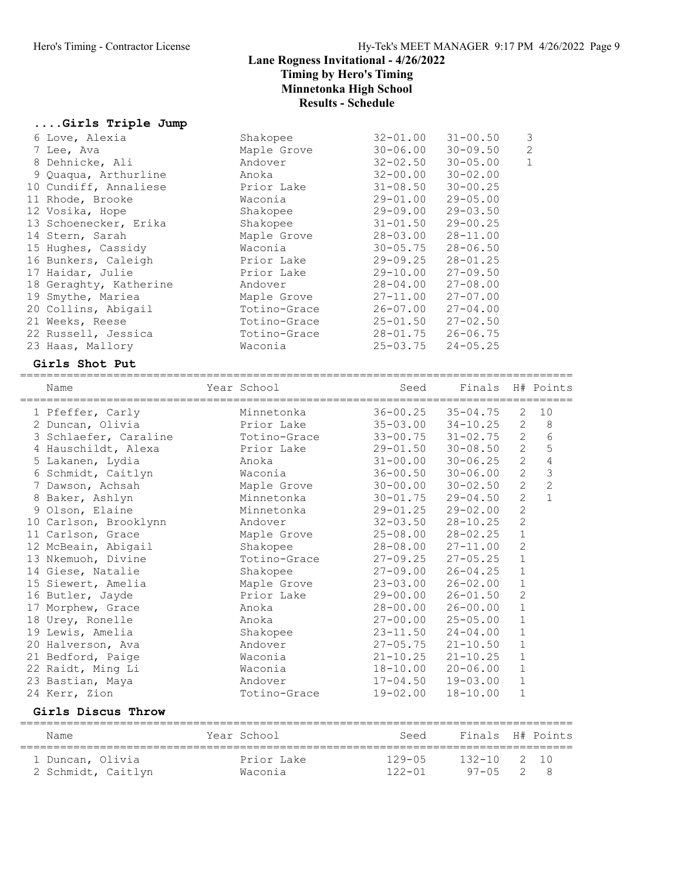# ....Girls Triple Jump

| 6 Love, Alexia         | Shakopee     | $32 - 01.00$ | $31 - 00.50$ | 3            |
|------------------------|--------------|--------------|--------------|--------------|
| 7 Lee, Ava             | Maple Grove  | $30 - 06.00$ | $30 - 09.50$ | 2            |
| 8 Dehnicke, Ali        | Andover      | $32 - 02.50$ | $30 - 05.00$ | $\mathbf{1}$ |
| 9 Quaqua, Arthurline   | Anoka        | $32 - 00.00$ | $30 - 02.00$ |              |
| 10 Cundiff, Annaliese  | Prior Lake   | $31 - 08.50$ | $30 - 00.25$ |              |
| 11 Rhode, Brooke       | Waconia      | $29 - 01.00$ | $29 - 05.00$ |              |
| 12 Vosika, Hope        | Shakopee     | 29-09.00     | $29 - 03.50$ |              |
| 13 Schoenecker, Erika  | Shakopee     | $31 - 01.50$ | $29 - 00.25$ |              |
| 14 Stern, Sarah        | Maple Grove  | $28 - 03.00$ | $28 - 11.00$ |              |
| 15 Hughes, Cassidy     | Waconia      | $30 - 05.75$ | $28 - 06.50$ |              |
| 16 Bunkers, Caleigh    | Prior Lake   | $29 - 09.25$ | $28 - 01.25$ |              |
| 17 Haidar, Julie       | Prior Lake   | 29-10.00     | $27 - 09.50$ |              |
| 18 Geraghty, Katherine | Andover      | $28 - 04.00$ | $27 - 08.00$ |              |
| 19 Smythe, Mariea      | Maple Grove  | $27 - 11.00$ | $27 - 07.00$ |              |
| 20 Collins, Abigail    | Totino-Grace | $26 - 07.00$ | $27 - 04.00$ |              |
| 21 Weeks, Reese        | Totino-Grace | $25 - 01.50$ | $27 - 02.50$ |              |
| 22 Russell, Jessica    | Totino-Grace | $28 - 01.75$ | $26 - 06.75$ |              |
| 23 Haas, Mallory       | Waconia      | $25 - 03.75$ | $24 - 05.25$ |              |

#### Girls Shot Put

| Name                    | Year School  | Seed                      | Finals H# Points          |                |                |
|-------------------------|--------------|---------------------------|---------------------------|----------------|----------------|
| 1 Pfeffer, Carly        | Minnetonka   | $36 - 00.25$              | $35 - 04.75$              | 2              | 10             |
| 2 Duncan, Olivia        | Prior Lake   | $35 - 03.00$ $34 - 10.25$ |                           | 2              | $\,8\,$        |
| 3 Schlaefer, Caraline   | Totino-Grace |                           | $33 - 00.75$ $31 - 02.75$ | $\overline{2}$ | $\overline{6}$ |
| 4 Hauschildt, Alexa     | Prior Lake   | $29 - 01.50$              | $30 - 08.50$              | $\overline{2}$ | 5              |
| 5 Lakanen, Lydia        | Anoka        | $31 - 00.00$              | $30 - 06.25$              | $\overline{2}$ | $rac{4}{3}$    |
| 6 Schmidt, Caitlyn      | Waconia      | $36 - 00.50$              | $30 - 06.00$              | $\overline{c}$ |                |
| 7 Dawson, Achsah        | Maple Grove  | $30 - 00.00$              | $30 - 02.50$              | $\overline{c}$ | $\overline{c}$ |
| 8 Baker, Ashlyn         | Minnetonka   | $30 - 01.75$ 29-04.50     |                           | $\overline{2}$ | $\mathbf{1}$   |
| 9 Olson, Elaine         | Minnetonka   | 29-01.25                  | $29 - 02.00$              | $\overline{2}$ |                |
| 10 Carlson, Brooklynn   | Andover      | $32 - 03.50$              | $28 - 10.25$              | $\overline{2}$ |                |
| 11 Carlson, Grace       | Maple Grove  | $25 - 08.00$ $28 - 02.25$ |                           | $\mathbf 1$    |                |
| 12 McBeain, Abigail     | Shakopee     | $28 - 08.00$ $27 - 11.00$ |                           | $\overline{c}$ |                |
| 13 Nkemuoh, Divine      | Totino-Grace | $27 - 09.25$              | $27 - 05.25$              | $\mathbf{1}$   |                |
| 14 Giese, Natalie       | Shakopee     | $27 - 09.00$              | $26 - 04.25$              | $\mathbf{1}$   |                |
| 15 Siewert, Amelia      | Maple Grove  | $23 - 03.00$ $26 - 02.00$ |                           | $\mathbf{1}$   |                |
| 16 Butler, Jayde        | Prior Lake   | 29-00.00                  | $26 - 01.50$              | $\overline{c}$ |                |
| 17 Morphew, Grace       | Anoka        | $28 - 00.00$              | $26 - 00.00$              | $\mathbf 1$    |                |
| 18 Urey, Ronelle        | Anoka        | $27 - 00.00$              | $25 - 05.00$              | $\mathbf{1}$   |                |
| 19 Lewis, Amelia        | Shakopee     | $23 - 11.50$ $24 - 04.00$ |                           | $\mathbf{1}$   |                |
| 20 Halverson, Ava       | Andover      | $27 - 05.75$ $21 - 10.50$ |                           | $\mathbf{1}$   |                |
| 21 Bedford, Paige       | Waconia      | $21 - 10.25$              | $21 - 10.25$              | $\mathbf{1}$   |                |
| 22 Raidt, Ming Li       | Waconia      | $18 - 10.00$ $20 - 06.00$ |                           | $\mathbf{1}$   |                |
| 23 Bastian, Maya        | Andover      | $17 - 04.50$ $19 - 03.00$ |                           | $\mathbf{1}$   |                |
| 24 Kerr, Zion           | Totino-Grace | 19-02.00                  | $18 - 10.00$              | $\mathbf{1}$   |                |
| Girls Discus Throw      |              |                           |                           |                |                |
| $N \supset m \supset n$ | Year School  | Seed                      | $Findc$ $H# Pointc$       |                |                |

| Name                                   | Year School           | Seed                     | Finals H# Points                 |  |
|----------------------------------------|-----------------------|--------------------------|----------------------------------|--|
| 1 Duncan, Olivia<br>2 Schmidt, Caitlyn | Prior Lake<br>Waconia | $129 - 05$<br>$122 - 01$ | $132 - 10$ 2 10<br>$97 - 05$ 2 8 |  |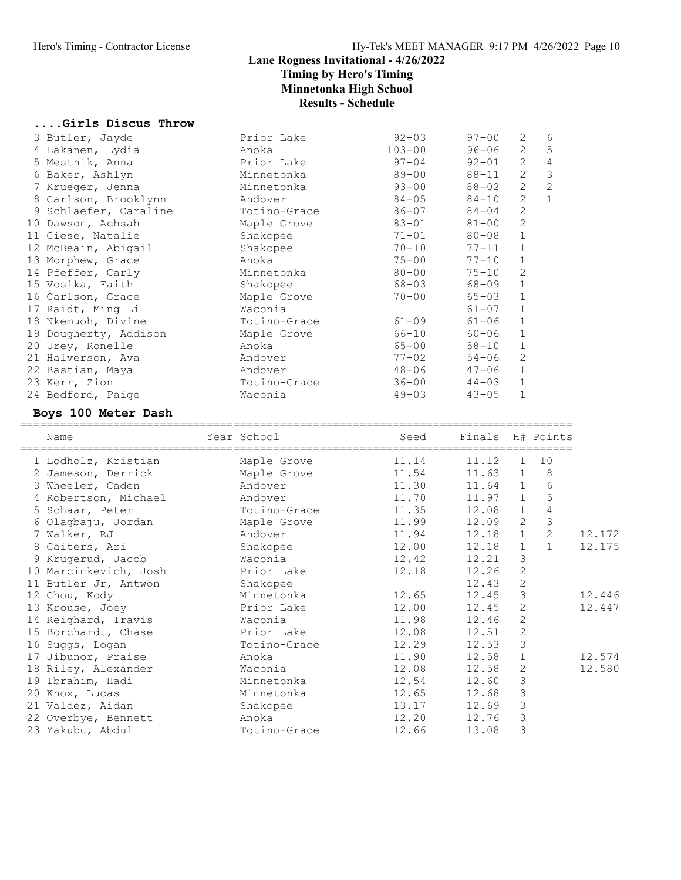....Girls Discus Throw

# Lane Rogness Invitational - 4/26/2022 Timing by Hero's Timing Minnetonka High School Results - Schedule

| 3 Butler, Jayde       | Prior Lake   | $92 - 03$  | $97 - 00$        | 2              | 6              |        |
|-----------------------|--------------|------------|------------------|----------------|----------------|--------|
| 4 Lakanen, Lydia      | Anoka        | $103 - 00$ | $96 - 06$        | $\mathbf{2}$   | 5              |        |
| 5 Mestnik, Anna       | Prior Lake   | $97 - 04$  | $92 - 01$        | 2              | $\overline{4}$ |        |
| 6 Baker, Ashlyn       | Minnetonka   | $89 - 00$  | $88 - 11$        | $\mathbf{2}$   | 3              |        |
| 7 Krueger, Jenna      | Minnetonka   | $93 - 00$  | 88-02            | $\overline{2}$ | $\overline{c}$ |        |
| 8 Carlson, Brooklynn  | Andover      | $84 - 05$  | 84-10            | $\mathbf{2}$   | $\mathbf{1}$   |        |
| 9 Schlaefer, Caraline | Totino-Grace | $86 - 07$  | $84 - 04$        | $\mathbf{2}$   |                |        |
| 10 Dawson, Achsah     | Maple Grove  | $83 - 01$  | $81 - 00$        | $\mathbf{2}$   |                |        |
| 11 Giese, Natalie     | Shakopee     | 71-01      | 80-08            | $\mathbf 1$    |                |        |
| 12 McBeain, Abigail   | Shakopee     | $70 - 10$  | 77-11            | $\mathbf 1$    |                |        |
| 13 Morphew, Grace     | Anoka        | $75 - 00$  | $77 - 10$        | $\mathbf{1}$   |                |        |
| 14 Pfeffer, Carly     | Minnetonka   | $80 - 00$  | $75 - 10$        | $\mathbf{2}$   |                |        |
| 15 Vosika, Faith      | Shakopee     | $68 - 03$  | 68-09            | $\mathbf 1$    |                |        |
| 16 Carlson, Grace     | Maple Grove  | $70 - 00$  | $65 - 03$        | $\mathbf 1$    |                |        |
| 17 Raidt, Ming Li     | Waconia      |            | $61 - 07$        | 1              |                |        |
| 18 Nkemuoh, Divine    | Totino-Grace | $61 - 09$  | $61 - 06$        | $\mathbf 1$    |                |        |
| 19 Dougherty, Addison | Maple Grove  | 66-10      | 60-06            | $\mathbf 1$    |                |        |
| 20 Urey, Ronelle      | Anoka        | $65 - 00$  | $58 - 10$        | $\mathbf{1}$   |                |        |
| 21 Halverson, Ava     | Andover      | $77 - 02$  | $54 - 06$        | 2              |                |        |
| 22 Bastian, Maya      | Andover      | $48 - 06$  | 47-06            | 1              |                |        |
| 23 Kerr, Zion         | Totino-Grace | $36 - 00$  | $44 - 03$        | $\mathbf 1$    |                |        |
| 24 Bedford, Paige     | Waconia      | $49 - 03$  | $43 - 05$        | $\mathbf{1}$   |                |        |
|                       |              |            |                  |                |                |        |
| Boys 100 Meter Dash   |              |            |                  |                |                |        |
|                       |              |            |                  |                |                |        |
|                       |              |            |                  |                |                |        |
| Name                  | Year School  | Seed       | Finals H# Points |                |                |        |
|                       |              |            |                  |                |                |        |
| 1 Lodholz, Kristian   | Maple Grove  | 11.14      | 11.12            | $\mathbf{1}$   | 10             |        |
| 2 Jameson, Derrick    | Maple Grove  | 11.54      | 11.63            | $\mathbf{1}$   | 8              |        |
| 3 Wheeler, Caden      | Andover      | 11.30      | 11.64            | $\mathbf{1}$   | $6\,$          |        |
| 4 Robertson, Michael  | Andover      | 11.70      | 11.97            | $\mathbf{1}$   | 5              |        |
| 5 Schaar, Peter       | Totino-Grace | 11.35      | 12.08            | $\mathbf{1}$   | $\sqrt{4}$     |        |
| 6 Olagbaju, Jordan    | Maple Grove  | 11.99      | 12.09            | $\mathbf{2}$   | $\mathfrak{Z}$ |        |
| 7 Walker, RJ          | Andover      | 11.94      | 12.18            | $\mathbf{1}$   | $\overline{c}$ | 12.172 |
| 8 Gaiters, Ari        | Shakopee     | 12.00      | 12.18            | $\mathbf{1}$   | $\mathbf{1}$   | 12.175 |
| 9 Krugerud, Jacob     | Waconia      | 12.42      | 12.21            | 3              |                |        |
| 10 Marcinkevich, Josh | Prior Lake   | 12.18      | 12.26            | $\mathbf{2}$   |                |        |
| 11 Butler Jr, Antwon  | Shakopee     |            | 12.43            | $\mathbf{2}$   |                |        |
| 12 Chou, Kody         | Minnetonka   | 12.65      | 12.45            | 3              |                | 12.446 |
| 13 Krouse, Joey       | Prior Lake   | 12.00      | 12.45            | 2              |                | 12.447 |
| 14 Reighard, Travis   | Waconia      | 11.98      | 12.46            | $\mathbf{2}$   |                |        |
| 15 Borchardt, Chase   | Prior Lake   | 12.08      | 12.51            | $\mathbf{2}$   |                |        |
| 16 Suggs, Logan       | Totino-Grace | 12.29      | 12.53            | 3              |                |        |
| 17 Jibunor, Praise    | Anoka        | 11.90      | 12.58            | 1              |                | 12.574 |
| 18 Riley, Alexander   | Waconia      | 12.08      | 12.58            | 2              |                | 12.580 |
| 19 Ibrahim, Hadi      | Minnetonka   | 12.54      | 12.60            | 3              |                |        |
| 20 Knox, Lucas        | Minnetonka   | 12.65      | 12.68            | 3              |                |        |
| 21 Valdez, Aidan      | Shakopee     | 13.17      | 12.69            | $\mathsf 3$    |                |        |
| 22 Overbye, Bennett   | Anoka        | 12.20      | 12.76            | 3              |                |        |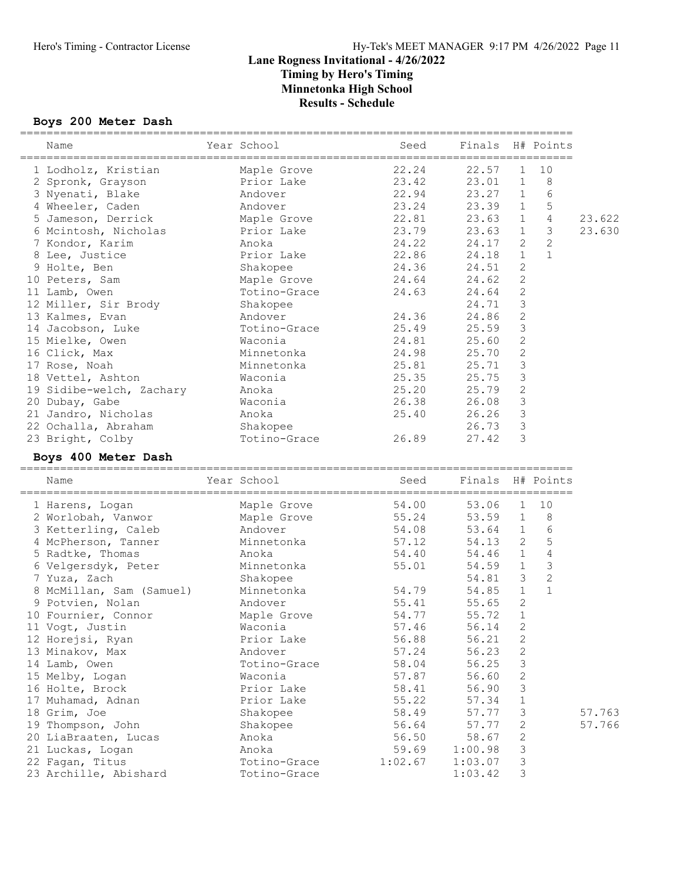#### Boys 200 Meter Dash

| ==============<br>Name |                                       | Year School and the School                                            |                    | Seed Finals H# Points |                         |                |        |
|------------------------|---------------------------------------|-----------------------------------------------------------------------|--------------------|-----------------------|-------------------------|----------------|--------|
|                        |                                       |                                                                       |                    |                       |                         |                |        |
|                        | 1 Lodholz, Kristian Maple Grove 22.24 |                                                                       |                    | $22.57$ 1             |                         | 10             |        |
|                        | 2 Spronk, Grayson and Prior Lake      |                                                                       | 23.42              | 23.01 1               |                         | 8              |        |
|                        | 3 Nyenati, Blake                      | Andover                                                               | 22.94              | 23.27 1               |                         | 6              |        |
|                        | 4 Wheeler, Caden                      | Andover<br>Maple Grove<br>Prior Lake                                  | 23.24<br>22.81     | 23.39 1               |                         | 5              |        |
|                        | 5 Jameson, Derrick                    |                                                                       | 22.81              | 23.63 1               |                         | $\overline{4}$ | 23.622 |
|                        | 6 Mcintosh, Nicholas                  |                                                                       | 23.79              | $23.63$ 1             |                         | 3              | 23.630 |
|                        | 7 Kondor, Karim                       | Anoka                                                                 | 24.22              | 24.17 2               |                         | $\mathbf{2}$   |        |
|                        | 8 Lee, Justice                        | Prior Lake<br>ake<br>shakopee<br>Maple Grove<br>Totino-Grace<br>Shake | 22.86              | 24.18                 | 1                       | $\mathbf{1}$   |        |
|                        | 9 Holte, Ben                          | Shakopee                                                              | 24.36              | 24.51                 | 2                       |                |        |
|                        | 10 Peters, Sam                        |                                                                       | 24.64              | 24.62                 | $\mathbf{2}$            |                |        |
| 11 Lamb, Owen          |                                       | Totino-Grace                                                          | 24.63              | 24.64                 | $\overline{c}$          |                |        |
|                        | 12 Miller, Sir Brody                  |                                                                       |                    | 24.71                 | $\overline{\mathbf{3}}$ |                |        |
|                        | 13 Kalmes, Evan                       | Andover                                                               | 24.36              | 24.86                 | 2                       |                |        |
|                        | 14 Jacobson, Luke                     |                                                                       | Totino-Grace 25.49 | 25.59                 | $\mathcal{E}$           |                |        |
|                        | 15 Mielke, Owen                       | Waconia                                                               | 24.81              | 25.60                 | 2                       |                |        |
|                        | 16 Click, Max                         | Minnetonka<br>Minnetonka                                              | 24.98              | 25.70                 | $\overline{c}$          |                |        |
| 17 Rose, Noah          |                                       |                                                                       | 25.81              | 25.71                 | $\mathbf{3}$            |                |        |
|                        | 18 Vettel, Ashton                     | Waconia                                                               | 25.35              | 25.75 3               |                         |                |        |
|                        | 19 Sidibe-welch, Zachary              | Anoka                                                                 | 25.20              | 25.79 2               |                         |                |        |
|                        | 20 Dubay, Gabe                        | Waconia                                                               | 26.38              | 26.08 3               |                         |                |        |
|                        | 21 Jandro, Nicholas                   | Anoka                                                                 | 25.40              | $26.26$ 3             |                         |                |        |
|                        | 22 Ochalla, Abraham                   | Shakopee                                                              |                    | 26.73 3               |                         |                |        |
|                        | 23 Bright, Colby                      | Totino-Grace                                                          | 26.89              | 27.42 3               |                         |                |        |
|                        | Boys 400 Meter Dash                   |                                                                       |                    |                       |                         |                |        |
| Name                   |                                       | Year School                                                           |                    | Seed Finals H# Points |                         |                |        |
|                        | 1 Harens, Logan                       |                                                                       | 54.00              | 53.06 1 10            |                         |                |        |
|                        | 2 Worlobah, Vanwor                    | Maple Grove<br>Maple Grove                                            | 55.24              | 53.59 1 8             |                         |                |        |
|                        | 3 Ketterling, Caleb Andover           |                                                                       | 54.08              | 53.64 1               |                         | 6              |        |
|                        | 4 McPherson, Tanner Minnetonka        |                                                                       | 57.12              | 54.13 2               |                         | 5              |        |
|                        | 5 Radtke, Thomas                      | Anoka                                                                 | 54.40              | 54.46 1               |                         | $\overline{4}$ |        |
|                        | 6 Velgersdyk, Peter                   | Minnetonka<br>Shakopee                                                | 55.01              | 54.59 1               |                         | $\mathcal{S}$  |        |
|                        | 7 Yuza, Zach                          |                                                                       |                    | 54.81 3               |                         | $\sqrt{2}$     |        |
|                        | 8 McMillan, Sam (Samuel) Minnetonka   |                                                                       | 54.79              | 54.85 1               |                         | $\mathbf{1}$   |        |
|                        | 9 Potvien, Nolan                      | Andover                                                               | 55.41              | $55.65$ 2             |                         |                |        |
|                        | 10 Fournier, Connor                   | Maple Grove                                                           | 54.77              | 55.72                 | $\mathbf{1}$            |                |        |
|                        | 11 Vogt, Justin                       | Waconia                                                               | 57.46              | 56.14 2               |                         |                |        |
|                        | 12 Horejsi, Ryan                      | Prior Lake                                                            | 56.88              | 56.21                 | 2                       |                |        |
|                        | 13 Minakov, Max                       | Andover                                                               | 57.24              | 56.23                 | $\mathbf{2}$            |                |        |
| 14 Lamb, Owen          |                                       | Totino-Grace                                                          | 58.04              | 56.25                 | 3                       |                |        |
|                        | 15 Melby, Logan                       | Waconia                                                               | 57.87              | 56.60                 | $\mathbf{2}$            |                |        |
|                        | 16 Holte, Brock                       | Prior Lake                                                            | 58.41              | 56.90                 | 3                       |                |        |
|                        | 17 Muhamad, Adnan                     | Prior Lake                                                            | 55.22              | 57.34                 | $\mathbf 1$             |                |        |
| 18 Grim, Joe           |                                       | Shakopee                                                              | 58.49              | 57.77                 | 3                       |                | 57.763 |
|                        | 19 Thompson, John                     | Shakopee                                                              | 56.64              | 57.77                 | $\overline{c}$          |                | 57.766 |
|                        | 20 LiaBraaten, Lucas                  | Anoka                                                                 | 56.50              | 58.67                 | $\mathbf{2}$            |                |        |
|                        |                                       |                                                                       | 59.69              | 1:00.98               | 3                       |                |        |
|                        | 21 Luckas, Logan                      | Anoka                                                                 |                    |                       |                         |                |        |
|                        | 22 Fagan, Titus                       | Totino-Grace                                                          | 1:02.67            | 1:03.07               | 3                       |                |        |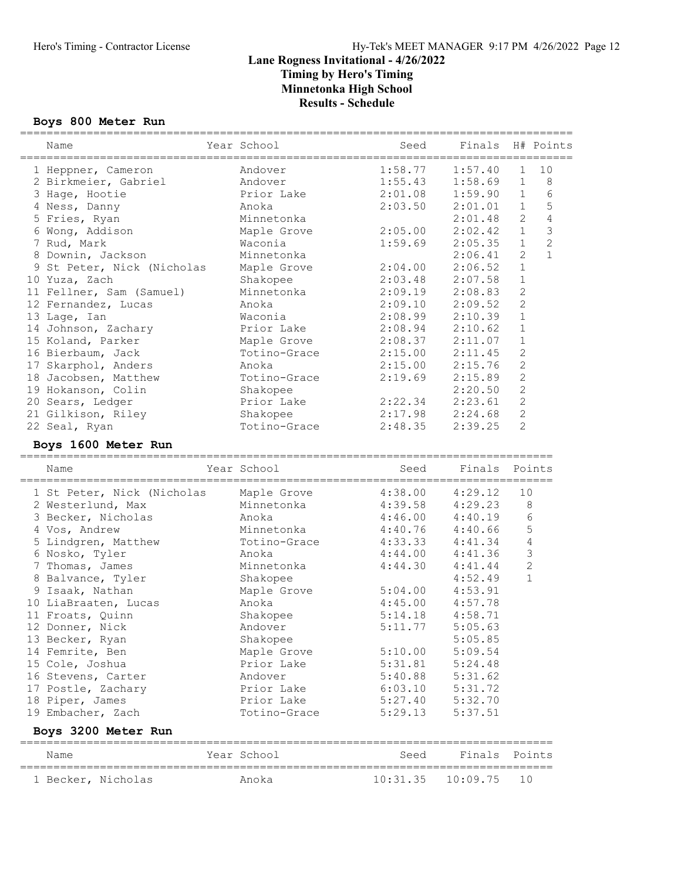#### Boys 800 Meter Run

| Name                                     | Year School               | Seed               | Finals H# Points          | ===========                |                |
|------------------------------------------|---------------------------|--------------------|---------------------------|----------------------------|----------------|
| 1 Heppner, Cameron                       | Andover                   | 1:58.77            | 1:57.40                   | 1                          | 10             |
| 2 Birkmeier, Gabriel                     | Andover                   | 1:55.43            | 1:58.69                   | 1                          | $\,8\,$        |
| 3 Hage, Hootie                           | Prior Lake                | 2:01.08            | 1:59.90                   | $\mathbf{1}$               | $6\,$          |
| 4 Ness, Danny                            | Anoka                     | 2:03.50            | 2:01.01                   | $\mathbf 1$                | 5              |
| 5 Fries, Ryan                            | Minnetonka                |                    | 2:01.48                   | $\mathbf{2}$               | $\overline{4}$ |
| 6 Wong, Addison                          | Maple Grove               | 2:05.00            | 2:02.42                   | $\mathbf 1$                | $\mathcal{S}$  |
| 7 Rud, Mark                              | Waconia                   | 1:59.69            | 2:05.35                   | $\mathbf{1}$               | $\overline{c}$ |
| 8 Downin, Jackson                        | Minnetonka                |                    | 2:06.41                   | 2                          | $\mathbf{1}$   |
| 9 St Peter, Nick (Nicholas               | Maple Grove               | 2:04.00            | 2:06.52                   | $\mathbf 1$                |                |
| 10 Yuza, Zach                            | Shakopee                  | 2:03.48            | 2:07.58                   | $1\,$                      |                |
| 11 Fellner, Sam (Samuel)                 | Minnetonka                | 2:09.19            | 2:08.83                   | $\mathbf{2}$               |                |
| 12 Fernandez, Lucas                      | Anoka                     | 2:09.10            | 2:09.52                   | $\mathbf{2}$               |                |
| 13 Lage, Ian                             | Waconia                   | 2:08.99            | 2:10.39                   | $\mathbf 1$                |                |
| 14 Johnson, Zachary                      | Prior Lake                | 2:08.94            | 2:10.62                   | 1                          |                |
| 15 Koland, Parker                        | Maple Grove               | 2:08.37            | 2:11.07                   | 1                          |                |
| 16 Bierbaum, Jack                        | Totino-Grace              | 2:15.00            | 2:11.45                   | $\overline{c}$             |                |
| 17 Skarphol, Anders                      | Anoka                     | 2:15.00            | 2:15.76                   | $\mathbf{2}$               |                |
| 18 Jacobsen, Matthew                     | Totino-Grace              | 2:19.69            | 2:15.89                   | $\mathbf{2}$               |                |
| 19 Hokanson, Colin                       | Shakopee                  |                    | 2:20.50                   | $\mathbf{2}$               |                |
| 20 Sears, Ledger                         | Prior Lake                | 2:22.34            | 2:23.61                   | $\mathbf{2}$               |                |
| 21 Gilkison, Riley                       | Shakopee                  | 2:17.98            | 2:24.68                   | $\mathbf{2}$               |                |
| 22 Seal, Ryan                            | Totino-Grace              | 2:48.35            | 2:39.25                   | 2                          |                |
| Boys 1600 Meter Run                      |                           |                    |                           |                            |                |
| Name                                     | Year School               | Seed               | Finals                    | Points                     |                |
| 1 St Peter, Nick (Nicholas               | Maple Grove               | 4:38.00            | 4:29.12                   | 10                         |                |
| 2 Westerlund, Max                        | Minnetonka                | 4:39.58            | 4:29.23                   | 8                          |                |
| 3 Becker, Nicholas                       | Anoka                     | 4:46.00            | 4:40.19                   | 6                          |                |
| 4 Vos, Andrew                            | Minnetonka                | 4:40.76            | 4:40.66                   | $\mathsf S$                |                |
| 5 Lindgren, Matthew                      | Totino-Grace              | 4:33.33            | 4:41.34                   | $\overline{4}$             |                |
| 6 Nosko, Tyler                           | Anoka                     |                    |                           |                            |                |
| 7 Thomas, James                          |                           |                    |                           |                            |                |
|                                          |                           | 4:44.00            | 4:41.36                   | $\mathfrak{Z}$             |                |
|                                          | Minnetonka                | 4:44.30            | 4:41.44                   | $\sqrt{2}$<br>$\mathbf{1}$ |                |
| 8 Balvance, Tyler                        | Shakopee                  |                    | 4:52.49                   |                            |                |
| 9 Isaak, Nathan                          | Maple Grove               | 5:04.00            | 4:53.91                   |                            |                |
| 10 LiaBraaten, Lucas                     | Anoka                     | 4:45.00            | 4:57.78                   |                            |                |
| 11 Froats, Quinn                         | Shakopee                  | 5:14.18            | 4:58.71                   |                            |                |
| 12 Donner, Nick                          | Andover                   | 5:11.77            | 5:05.63                   |                            |                |
| 13 Becker, Ryan                          | Shakopee                  |                    | 5:05.85                   |                            |                |
| 14 Femrite, Ben                          | Maple Grove<br>Prior Lake | 5:10.00<br>5:31.81 | 5:09.54<br>5:24.48        |                            |                |
| 15 Cole, Joshua                          | Andover                   | 5:40.88            | 5:31.62                   |                            |                |
| 16 Stevens, Carter                       |                           |                    | 5:31.72                   |                            |                |
| 17 Postle, Zachary                       | Prior Lake<br>Prior Lake  | 6:03.10            | 5:32.70                   |                            |                |
| 18 Piper, James                          | Totino-Grace              | 5:27.40<br>5:29.13 | 5:37.51                   |                            |                |
| 19 Embacher, Zach<br>Boys 3200 Meter Run |                           |                    |                           |                            |                |
|                                          |                           |                    |                           |                            |                |
| Name<br>1 Becker, Nicholas               | Year School<br>Anoka      | Seed<br>10:31.35   | Finals Points<br>10:09.75 | 10                         |                |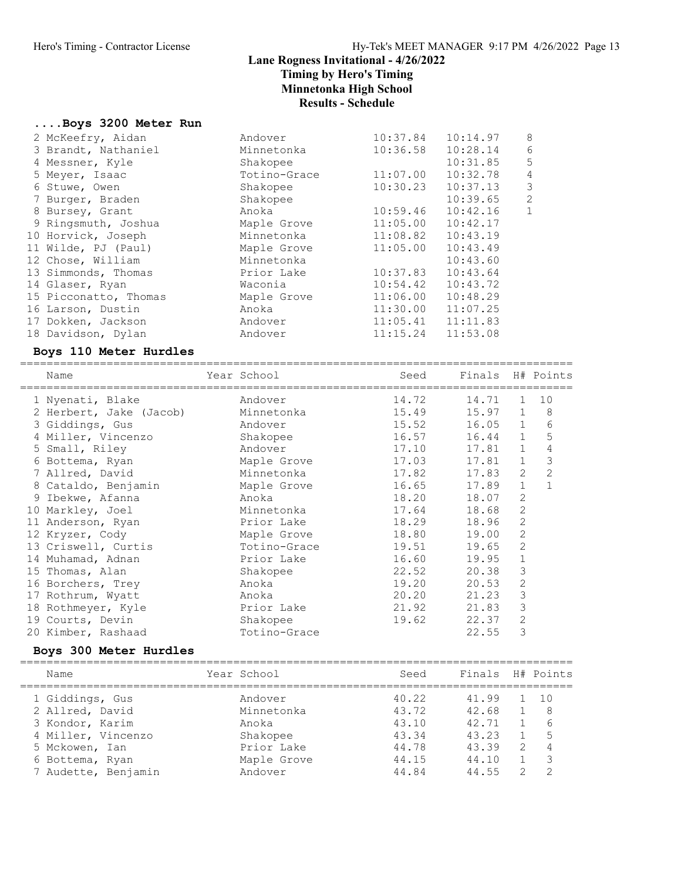#### ....Boys 3200 Meter Run

| 2 McKeefry, Aidan     | Andover      | 10:37.84 | 10:14.97 | 8 |
|-----------------------|--------------|----------|----------|---|
| 3 Brandt, Nathaniel   | Minnetonka   | 10:36.58 | 10:28.14 | 6 |
| 4 Messner, Kyle       | Shakopee     |          | 10:31.85 | 5 |
| 5 Meyer, Isaac        | Totino-Grace | 11:07.00 | 10:32.78 | 4 |
| 6 Stuwe, Owen         | Shakopee     | 10:30.23 | 10:37.13 | 3 |
| 7 Burger, Braden      | Shakopee     |          | 10:39.65 | 2 |
| 8 Bursey, Grant       | Anoka        | 10:59.46 | 10:42.16 | 1 |
| 9 Ringsmuth, Joshua   | Maple Grove  | 11:05.00 | 10:42.17 |   |
| 10 Horvick, Joseph    | Minnetonka   | 11:08.82 | 10:43.19 |   |
| 11 Wilde, PJ (Paul)   | Maple Grove  | 11:05.00 | 10:43.49 |   |
| 12 Chose, William     | Minnetonka   |          | 10:43.60 |   |
| 13 Simmonds, Thomas   | Prior Lake   | 10:37.83 | 10:43.64 |   |
| 14 Glaser, Ryan       | Waconia      | 10:54.42 | 10:43.72 |   |
| 15 Picconatto, Thomas | Maple Grove  | 11:06.00 | 10:48.29 |   |
| 16 Larson, Dustin     | Anoka        | 11:30.00 | 11:07.25 |   |
| 17 Dokken, Jackson    | Andover      | 11:05.41 | 11:11.83 |   |
| 18 Davidson, Dylan    | Andover      | 11:15.24 | 11:53.08 |   |
|                       |              |          |          |   |

#### Boys 110 Meter Hurdles

| Name                    | Year School  | Seed  | Finals H# Points |                |                |
|-------------------------|--------------|-------|------------------|----------------|----------------|
| 1 Nyenati, Blake        | Andover      | 14.72 | 14.71            | $\mathbf{1}$   | 10             |
| 2 Herbert, Jake (Jacob) | Minnetonka   | 15.49 | 15.97            | $\mathbf{1}$   | 8              |
| 3 Giddings, Gus         | Andover      | 15.52 | 16.05            | $\mathbf{1}$   | 6              |
| 4 Miller, Vincenzo      | Shakopee     | 16.57 | 16.44            | $\mathbf{1}$   | 5              |
| 5 Small, Riley          | Andover      | 17.10 | 17.81            | $\mathbf{1}$   | 4              |
| 6 Bottema, Ryan         | Maple Grove  | 17.03 | 17.81            | $\mathbf{1}$   | 3              |
| 7 Allred, David         | Minnetonka   | 17.82 | 17.83            | 2              | $\overline{2}$ |
| 8 Cataldo, Benjamin     | Maple Grove  | 16.65 | 17.89            | $\mathbf 1$    | $\mathbf{1}$   |
| 9 Ibekwe, Afanna        | Anoka        | 18.20 | 18.07            | $\overline{2}$ |                |
| 10 Markley, Joel        | Minnetonka   | 17.64 | 18.68            | 2              |                |
| 11 Anderson, Ryan       | Prior Lake   | 18.29 | 18.96            | 2              |                |
| 12 Kryzer, Cody         | Maple Grove  | 18.80 | 19.00            | $\overline{2}$ |                |
| 13 Criswell, Curtis     | Totino-Grace | 19.51 | 19.65            | 2              |                |
| 14 Muhamad, Adnan       | Prior Lake   | 16.60 | 19.95            | $\mathbf 1$    |                |
| 15 Thomas, Alan         | Shakopee     | 22.52 | 20.38            | 3              |                |
| 16 Borchers, Trey       | Anoka        | 19.20 | 20.53            | 2              |                |
| 17 Rothrum, Wyatt       | Anoka        | 20.20 | 21.23            | 3              |                |
| 18 Rothmeyer, Kyle      | Prior Lake   | 21.92 | 21.83            | 3              |                |
| 19 Courts, Devin        | Shakopee     | 19.62 | 22.37            | 2              |                |
| 20 Kimber, Rashaad      | Totino-Grace |       | 22.55            | 3              |                |

#### Boys 300 Meter Hurdles

| Name                | Year School | Seed  | Finals H# Points |               |                |
|---------------------|-------------|-------|------------------|---------------|----------------|
| 1 Giddings, Gus     | Andover     | 40.22 | 41.99            |               | - 1 N          |
| 2 Allred, David     | Minnetonka  | 43.72 | 42.68            |               | -8             |
| 3 Kondor, Karim     | Anoka       | 43.10 | 42.71            |               | 6              |
| 4 Miller, Vincenzo  | Shakopee    | 43.34 | 43.23            |               | .5             |
| 5 Mckowen, Ian      | Prior Lake  | 44.78 | 43.39            | $\mathcal{L}$ | $\overline{4}$ |
| 6 Bottema, Ryan     | Maple Grove | 44.15 | 44.10            |               |                |
| 7 Audette, Benjamin | Andover     | 44.84 | 44.55            | っ             |                |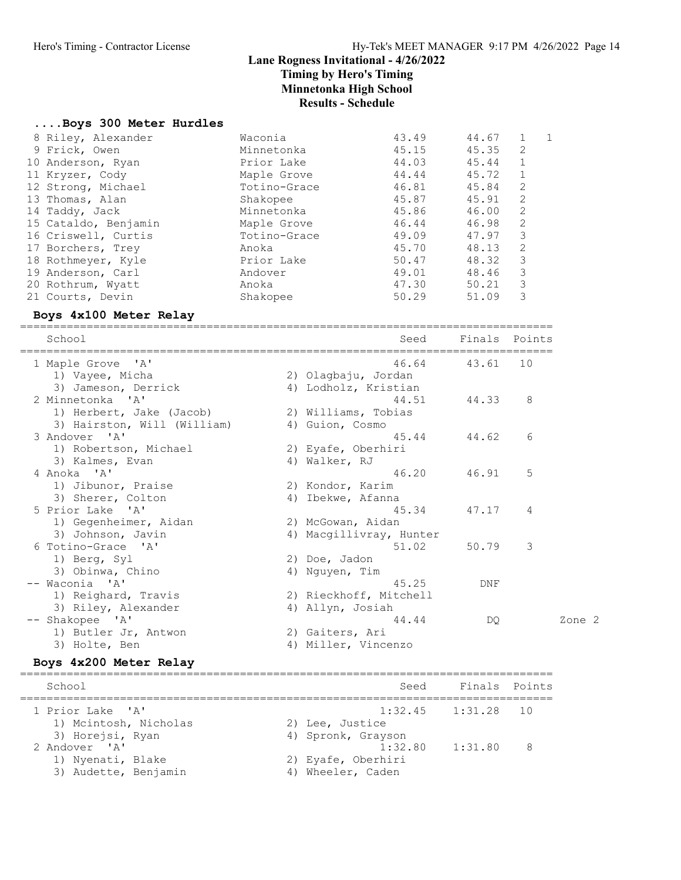#### Results - Schedule

#### ....Boys 300 Meter Hurdles

| Waconia      | 43.49 | 44.67 |              | 1 |
|--------------|-------|-------|--------------|---|
| Minnetonka   | 45.15 | 45.35 | 2            |   |
| Prior Lake   | 44.03 | 45.44 | $\mathbf{1}$ |   |
| Maple Grove  | 44.44 | 45.72 | 1            |   |
| Totino-Grace | 46.81 | 45.84 | 2            |   |
| Shakopee     | 45.87 | 45.91 | 2            |   |
| Minnetonka   | 45.86 | 46.00 | 2            |   |
| Maple Grove  | 46.44 | 46.98 | 2            |   |
| Totino-Grace | 49.09 | 47.97 | 3            |   |
| Anoka        | 45.70 | 48.13 | 2            |   |
| Prior Lake   | 50.47 | 48.32 | 3            |   |
| Andover      | 49.01 | 48.46 | 3            |   |
| Anoka        | 47.30 | 50.21 | 3            |   |
| Shakopee     | 50.29 | 51.09 | 3            |   |
|              |       |       |              |   |

#### Boys 4x100 Meter Relay

================================================================================

| School                      | Seed                    | Finals Points |    |        |
|-----------------------------|-------------------------|---------------|----|--------|
| 1 Maple Grove 'A'           | 46.64                   | 43.61         | 10 |        |
| 1) Vayee, Micha             | 2) Olagbaju, Jordan     |               |    |        |
| 3) Jameson, Derrick         | 4) Lodholz, Kristian    |               |    |        |
| 2 Minnetonka 'A'            | 44.51                   | 44.33         | 8  |        |
| 1) Herbert, Jake (Jacob)    | 2) Williams, Tobias     |               |    |        |
| 3) Hairston, Will (William) | 4) Guion, Cosmo         |               |    |        |
| 3 Andover 'A'               | 45.44                   | 44.62         | 6  |        |
| 1) Robertson, Michael       | 2) Eyafe, Oberhiri      |               |    |        |
| 3) Kalmes, Evan             | 4) Walker, RJ           |               |    |        |
| 4 Anoka 'A'                 | 46.20                   | 46.91         | 5  |        |
| 1) Jibunor, Praise          | 2) Kondor, Karim        |               |    |        |
| 3) Sherer, Colton           | 4) Ibekwe, Afanna       |               |    |        |
| 5 Prior Lake 'A'            | 45.34                   | 47.17         | 4  |        |
| 1) Gegenheimer, Aidan       | 2) McGowan, Aidan       |               |    |        |
| 3) Johnson, Javin           | 4) Macqillivray, Hunter |               |    |        |
| 6 Totino-Grace 'A'          | 51.02 50.79             |               | 3  |        |
| 1) Berg, Syl                | 2) Doe, Jadon           |               |    |        |
| 3) Obinwa, Chino            | 4) Nguyen, Tim          |               |    |        |
| -- Waconia 'A'              | 45.25                   | DNF           |    |        |
| 1) Reighard, Travis         | 2) Rieckhoff, Mitchell  |               |    |        |
| 3) Riley, Alexander         | 4) Allyn, Josiah        |               |    |        |
| -- Shakopee 'A'             | 44.44                   | DO            |    | Zone 2 |
| 1) Butler Jr, Antwon        | 2) Gaiters, Ari         |               |    |        |
| 3) Holte, Ben               | 4) Miller, Vincenzo     |               |    |        |

#### Boys 4x200 Meter Relay

================================================================================ School School Seed Finals Points ================================================================================ 1 Prior Lake 'A' 1:32.45 1:31.28 10 1) Mcintosh, Nicholas 2) Lee, Justice 3) Horejsi, Ryan 1988 (4) Spronk, Grayson 2 Andover 'A' 1:32.80 1:31.80 8 1) Nyenati, Blake 2) Eyafe, Oberhiri 3) Audette, Benjamin (4) Wheeler, Caden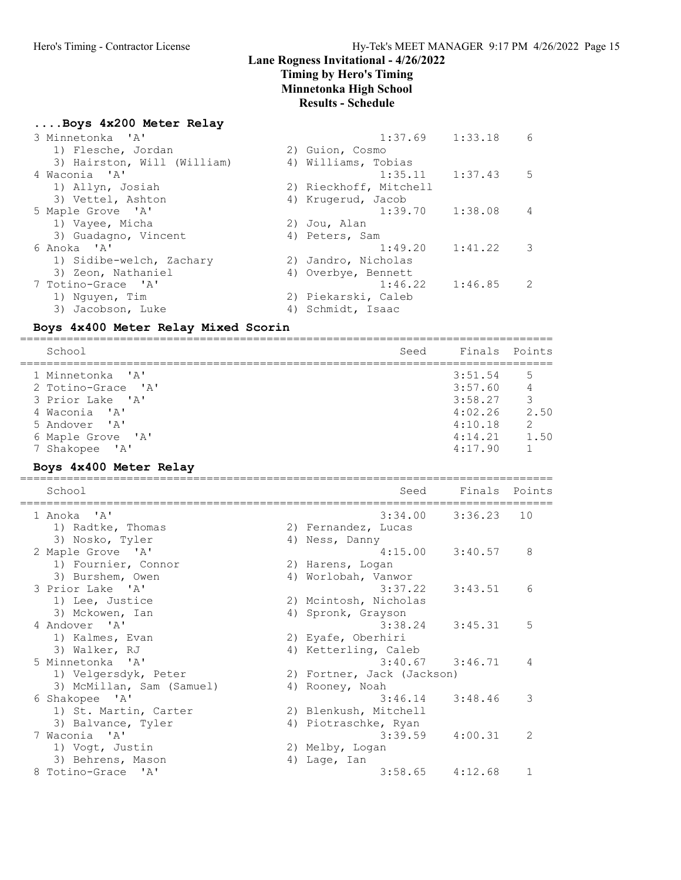# Lane Rogness Invitational - 4/26/2022

# Timing by Hero's Timing

Minnetonka High School

## Results - Schedule

| Boys 4x200 Meter Relay    |  |  |
|---------------------------|--|--|
| $3$ Minnatonka $1\lambda$ |  |  |

| 3 Minnetonka 'A'            |                        | $1:37.69$ $1:33.18$ | 6              |
|-----------------------------|------------------------|---------------------|----------------|
| 1) Flesche, Jordan          | 2) Guion, Cosmo        |                     |                |
| 3) Hairston, Will (William) | 4) Williams, Tobias    |                     |                |
| 4 Waconia 'A'               | $1:35.11$ $1:37.43$    |                     | -5             |
| 1) Allyn, Josiah            | 2) Rieckhoff, Mitchell |                     |                |
| 3) Vettel, Ashton           | 4) Krugerud, Jacob     |                     |                |
| 5 Maple Grove 'A'           | $1:39.70$ $1:38.08$    |                     | $\overline{4}$ |
| 1) Vayee, Micha             | 2) Jou, Alan           |                     |                |
| 3) Guadagno, Vincent        | 4) Peters, Sam         |                     |                |
| 6 Anoka 'A'                 | $1:49.20$ $1:41.22$    |                     | 3              |
| 1) Sidibe-welch, Zachary    | 2) Jandro, Nicholas    |                     |                |
| 3) Zeon, Nathaniel          | 4) Overbye, Bennett    |                     |                |
| 7 Totino-Grace 'A'          | $1:46.22$ $1:46.85$    |                     | 2              |
| 1) Nguyen, Tim              | 2) Piekarski, Caleb    |                     |                |
| 3) Jacobson, Luke           | 4) Schmidt, Isaac      |                     |                |
|                             |                        |                     |                |

### Boys 4x400 Meter Relay Mixed Scorin

| School<br>Seed                                                                                                    |                                                                | Finals Points                                 |
|-------------------------------------------------------------------------------------------------------------------|----------------------------------------------------------------|-----------------------------------------------|
| 1 Minnetonka 'A'<br>2 Totino-Grace 'A'<br>3 Prior Lake 'A'<br>4 Waconia 'A'<br>5 Andover 'A'<br>6 Maple Grove 'A' | 3:51.54<br>3:57.60<br>3:58.27<br>4:02.26<br>4:10.18<br>4:14.21 | 5<br>4<br>3<br>2.50<br>$\overline{2}$<br>1.50 |
| 7 Shakopee 'A'                                                                                                    | 4:17.90                                                        |                                               |

# Boys 4x400 Meter Relay

| School                    | Seed                       | Finals Points |               |
|---------------------------|----------------------------|---------------|---------------|
| 1 Anoka 'A'               | 3:34.00                    | 3:36.23       | 10            |
| 1) Radtke, Thomas         | 2) Fernandez, Lucas        |               |               |
| 3) Nosko, Tyler           | 4) Ness, Danny             |               |               |
| 2 Maple Grove 'A'         | 4:15.00                    | 3:40.57       | 8             |
| 1) Fournier, Connor       | 2) Harens, Logan           |               |               |
| 3) Burshem, Owen          | 4) Worlobah, Vanwor        |               |               |
| 3 Prior Lake 'A'          | 3:37.22                    | 3:43.51       | 6             |
| 1) Lee, Justice           | 2) Mcintosh, Nicholas      |               |               |
| 3) Mckowen, Ian           | 4) Spronk, Grayson         |               |               |
| 4 Andover 'A'             | $3:38.24$ $3:45.31$        |               | 5             |
| 1) Kalmes, Evan           | 2) Eyafe, Oberhiri         |               |               |
| 3) Walker, RJ             | 4) Ketterling, Caleb       |               |               |
| 5 Minnetonka 'A'          | $3:40.67$ $3:46.71$        |               | 4             |
| 1) Velgersdyk, Peter      | 2) Fortner, Jack (Jackson) |               |               |
| 3) McMillan, Sam (Samuel) | 4) Rooney, Noah            |               |               |
| 6 Shakopee 'A'            | $3:46.14$ $3:48.46$        |               | 3             |
| 1) St. Martin, Carter     | 2) Blenkush, Mitchell      |               |               |
| 3) Balvance, Tyler        | 4) Piotraschke, Ryan       |               |               |
| 7 Waconia 'A'             | 3:39.59                    | 4:00.31       | $\mathcal{L}$ |
| 1) Voqt, Justin           | 2) Melby, Logan            |               |               |
| 3) Behrens, Mason         | 4) Lage, Ian               |               |               |
| 8 Totino-Grace 'A'        | $3:58.65$ $4:12.68$        |               | 1             |
|                           |                            |               |               |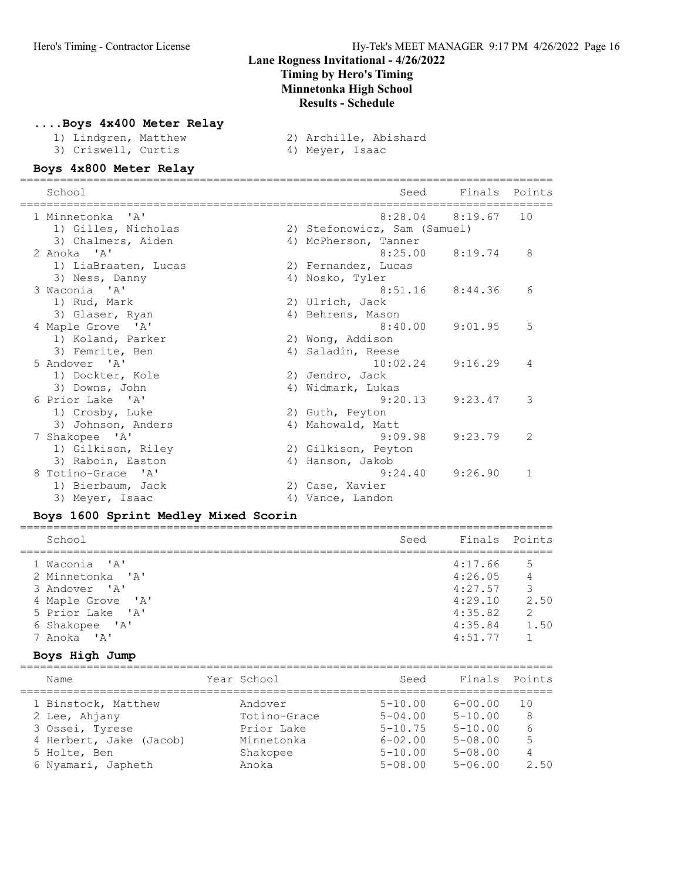#### ....Boys 4x400 Meter Relay

- 
- 1) Lindgren, Matthew 2) Archille, Abishard 3) Criswell, Curtis
	-

#### Boys 4x800 Meter Relay

| School                          | Finals Points<br>Seed                      |
|---------------------------------|--------------------------------------------|
| 1 Minnetonka 'A'                | $8:28.04$ $8:19.67$<br>10                  |
| 1) Gilles, Nicholas             | 2) Stefonowicz, Sam (Samuel)               |
| 3) Chalmers, Aiden              | 4) McPherson, Tanner                       |
| 2 Anoka 'A'                     | $8:25.00$ $8:19.74$<br>8                   |
| 1) LiaBraaten, Lucas            | 2) Fernandez, Lucas                        |
| 3) Ness, Danny<br>3 Waconia 'A' | 4) Nosko, Tyler<br>8:51.16<br>8:44.36<br>6 |
| 1) Rud, Mark                    | 2) Ulrich, Jack                            |
| 3) Glaser, Ryan                 | 4) Behrens, Mason                          |
| 4 Maple Grove 'A'               | 5<br>9:01.95<br>8:40.00                    |
| 1) Koland, Parker               | 2) Wong, Addison                           |
| 3) Femrite, Ben                 | 4) Saladin, Reese                          |
| 5 Andover 'A'                   | 9:16.29<br>10:02.24<br>4                   |
| 1) Dockter, Kole                | 2) Jendro, Jack                            |
| 3) Downs, John                  | 4) Widmark, Lukas                          |
| 6 Prior Lake 'A'                | 3<br>9:20.13<br>9:23.47                    |
| 1) Crosby, Luke                 | 2) Guth, Peyton                            |
| 3) Johnson, Anders              | 4) Mahowald, Matt                          |
| 7 Shakopee 'A'                  | $\mathcal{L}$<br>9:09.98<br>9:23.79        |
| 1) Gilkison, Riley              | 2) Gilkison, Peyton                        |
| 3) Raboin, Easton               | 4) Hanson, Jakob                           |
| 8 Totino-Grace 'A'              | 9:26.90<br>9:24.40<br>1                    |
| 1) Bierbaum, Jack               | 2) Case, Xavier                            |
| 3) Meyer, Isaac                 | 4) Vance, Landon                           |

#### Boys 1600 Sprint Medley Mixed Scorin

| School            | Seed | Finals Points |               |
|-------------------|------|---------------|---------------|
| 1 Waconia 'A'     |      | 4:17.66       | .5            |
| 2 Minnetonka 'A'  |      | 4:26.05       | 4             |
| 3 Andover 'A'     |      | 4:27.57       | 3             |
| 4 Maple Grove 'A' |      | 4:29.10       | 2.50          |
| 5 Prior Lake 'A'  |      | 4:35.82       | $\mathcal{L}$ |
| 6 Shakopee 'A'    |      | 4:35.84       | 1.50          |
| 7 Anoka 'A'       |      | 4:51.77       |               |
|                   |      |               |               |

#### Boys High Jump

| Name                    | Year School  | Seed        | Finals      | Points |
|-------------------------|--------------|-------------|-------------|--------|
| 1 Binstock, Matthew     | Andover      | $5 - 10.00$ | $6 - 00.00$ | 1 O    |
| 2 Lee, Ahjany           | Totino-Grace | $5 - 04.00$ | $5 - 10.00$ | 8      |
| 3 Ossei, Tyrese         | Prior Lake   | $5 - 10.75$ | $5 - 10.00$ | 6      |
| 4 Herbert, Jake (Jacob) | Minnetonka   | $6 - 02.00$ | $5 - 08.00$ | 5      |
| 5 Holte, Ben            | Shakopee     | $5 - 10.00$ | $5 - 08.00$ | 4      |
| 6 Nyamari, Japheth      | Anoka        | $5 - 08.00$ | $5 - 06.00$ | 2.50   |
|                         |              |             |             |        |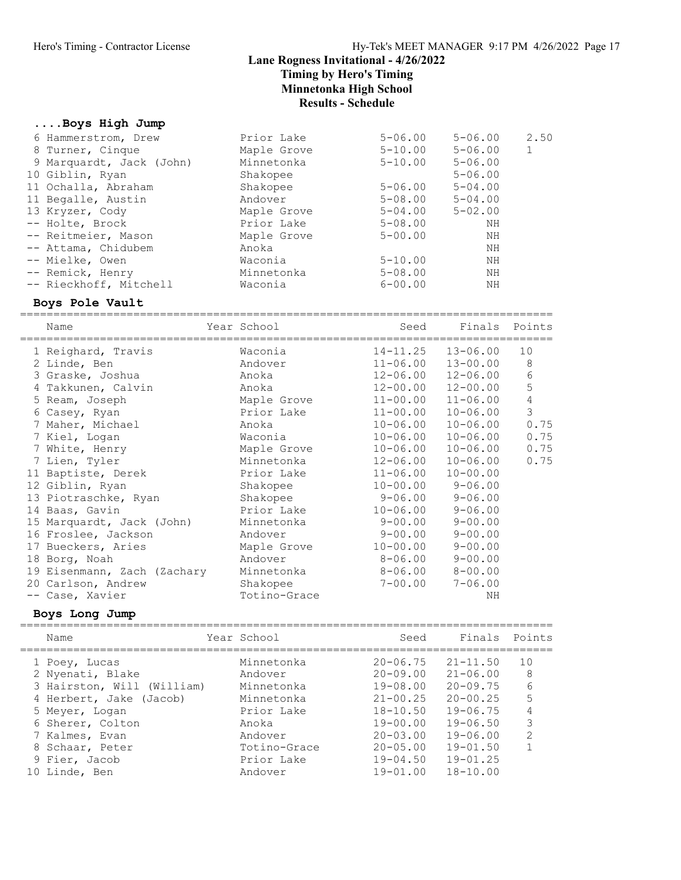### ....Boys High Jump

| 6 Hammerstrom, Drew      | Prior Lake  | $5 - 06.00$ | $5 - 06.00$ | 2.50 |
|--------------------------|-------------|-------------|-------------|------|
| 8 Turner, Cinque         | Maple Grove | $5 - 10.00$ | $5 - 06.00$ |      |
| 9 Marquardt, Jack (John) | Minnetonka  | $5 - 10.00$ | $5 - 06.00$ |      |
| 10 Giblin, Ryan          | Shakopee    |             | $5 - 06.00$ |      |
| 11 Ochalla, Abraham      | Shakopee    | $5 - 06.00$ | $5 - 04.00$ |      |
| 11 Begalle, Austin       | Andover     | $5 - 08.00$ | $5 - 04.00$ |      |
| 13 Kryzer, Cody          | Maple Grove | $5 - 04.00$ | $5 - 02.00$ |      |
| -- Holte, Brock          | Prior Lake  | $5 - 08.00$ | ΝH          |      |
| -- Reitmeier, Mason      | Maple Grove | $5 - 00.00$ | ΝH          |      |
| -- Attama, Chidubem      | Anoka       |             | ΝH          |      |
| -- Mielke, Owen          | Waconia     | $5 - 10.00$ | ΝH          |      |
| -- Remick, Henry         | Minnetonka  | $5 - 08.00$ | ΝH          |      |
| -- Rieckhoff, Mitchell   | Waconia     | $6 - 00.00$ | ΝH          |      |
|                          |             |             |             |      |

#### Boys Pole Vault

================================================================================

| Name                        | Year School  | Seed         | Finals                    | Points     |
|-----------------------------|--------------|--------------|---------------------------|------------|
| 1 Reighard, Travis          | Waconia      | $14 - 11.25$ | $13 - 06.00$              | 10         |
| 2 Linde, Ben                | Andover      | $11 - 06.00$ | $13 - 00.00$              | 8          |
| 3 Graske, Joshua            | Anoka        |              | $12 - 06.00$ $12 - 06.00$ | 6          |
| 4 Takkunen, Calvin          | Anoka        | $12 - 00.00$ | $12 - 00.00$              | 5          |
| 5 Ream, Joseph              | Maple Grove  |              | $11 - 00.00$ $11 - 06.00$ | $\sqrt{4}$ |
| 6 Casey, Ryan               | Prior Lake   | $11 - 00.00$ | $10 - 06.00$              | 3          |
| 7 Maher, Michael            | Anoka        | $10 - 06.00$ | $10 - 06.00$              | 0.75       |
| 7 Kiel, Logan               | Waconia      | $10 - 06.00$ | $10 - 06.00$              | 0.75       |
| 7 White, Henry              | Maple Grove  | $10 - 06.00$ | $10 - 06.00$              | 0.75       |
| 7 Lien, Tyler               | Minnetonka   | $12 - 06.00$ | $10 - 06.00$              | 0.75       |
| 11 Baptiste, Derek          | Prior Lake   | $11 - 06.00$ | $10 - 00.00$              |            |
| 12 Giblin, Ryan             | Shakopee     | $10 - 00.00$ | $9 - 06.00$               |            |
| 13 Piotraschke, Ryan        | Shakopee     | $9 - 06.00$  | $9 - 06.00$               |            |
| 14 Baas, Gavin              | Prior Lake   | $10 - 06.00$ | $9 - 06.00$               |            |
| 15 Marquardt, Jack (John)   | Minnetonka   | $9 - 00.00$  | $9 - 00.00$               |            |
| 16 Froslee, Jackson         | Andover      | $9 - 00.00$  | $9 - 00.00$               |            |
| 17 Bueckers, Aries          | Maple Grove  | $10 - 00.00$ | $9 - 00.00$               |            |
| 18 Borg, Noah               | Andover      | $8 - 06.00$  | $9 - 00.00$               |            |
| 19 Eisenmann, Zach (Zachary | Minnetonka   | 8-06.00      | $8 - 00.00$               |            |
| 20 Carlson, Andrew          | Shakopee     | $7 - 00.00$  | $7 - 06.00$               |            |
| -- Case, Xavier             | Totino-Grace |              | ΝH                        |            |

### Boys Long Jump

| Name                       | Year School  | Seed            | Finals       | Points        |
|----------------------------|--------------|-----------------|--------------|---------------|
| 1 Poey, Lucas              | Minnetonka   | $20 - 06.75$    | $21 - 11.50$ | 10            |
| 2 Nyenati, Blake           | Andover      | $20 - 09.00$    | $21 - 06.00$ | 8             |
| 3 Hairston, Will (William) | Minnetonka   | $19 - 08.00$    | $20 - 09.75$ | 6             |
| 4 Herbert, Jake (Jacob)    | Minnetonka   | $21 - 00.25$    | $20 - 00.25$ | 5             |
| 5 Meyer, Logan             | Prior Lake   | $18 - 10.50$    | $19 - 06.75$ | 4             |
| 6 Sherer, Colton           | Anoka        | $19 - 00.00$    | $19 - 06.50$ | 3             |
| 7 Kalmes, Evan             | Andover      | $20 - 03.00$    | $19 - 06.00$ | $\mathcal{L}$ |
| 8 Schaar, Peter            | Totino-Grace | $20 - 0.5$ , 00 | $19 - 01.50$ |               |
| 9 Fier, Jacob              | Prior Lake   | $19 - 04.50$    | $19 - 01.25$ |               |
| 10 Linde, Ben              | Andover      | $19 - 01.00$    | $18 - 10.00$ |               |
|                            |              |                 |              |               |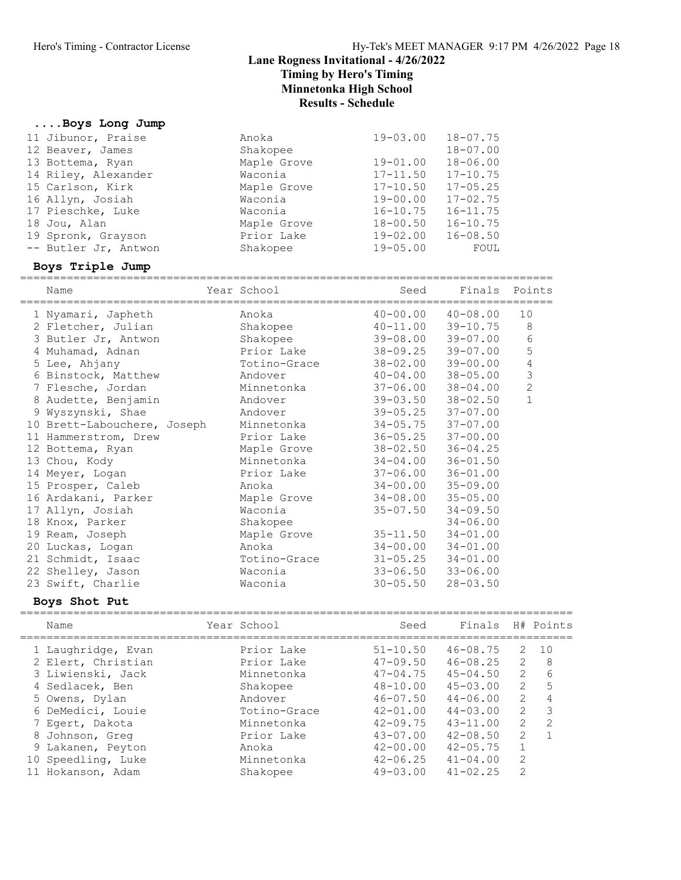#### ....Boys Long Jump

| 11 Jibunor, Praise   | Anoka       | $19 - 03.00$ $18 - 07.75$ |              |  |
|----------------------|-------------|---------------------------|--------------|--|
| 12 Beaver, James     | Shakopee    |                           | $18 - 07.00$ |  |
| 13 Bottema, Ryan     | Maple Grove | $19 - 01.00$              | $18 - 06.00$ |  |
| 14 Riley, Alexander  | Waconia     | $17 - 11.50$              | $17 - 10.75$ |  |
| 15 Carlson, Kirk     | Maple Grove | $17 - 10.50$              | $17 - 05.25$ |  |
| 16 Allyn, Josiah     | Waconia     | $19 - 00.00$              | $17 - 02.75$ |  |
| 17 Pieschke, Luke    | Waconia     | $16 - 10.75$              | $16 - 11.75$ |  |
| 18 Jou, Alan         | Maple Grove | $18 - 00.50$              | $16 - 10.75$ |  |
| 19 Spronk, Grayson   | Prior Lake  | $19 - 02.00$              | $16 - 08.50$ |  |
| -- Butler Jr, Antwon | Shakopee    | $19 - 05.00$              | FOUL         |  |
|                      |             |                           |              |  |

#### Boys Triple Jump

================================================================================ Name Year School Seed Finals Points ================================================================================ 1 Nyamari, Japheth Anoka 40-00.00 40-08.00 10 2 Fletcher, Julian Shakopee 40-11.00 39-10.75 8 3 Butler Jr, Antwon Shakopee 39-08.00 39-07.00 6 4 Muhamad, Adnan Prior Lake 38-09.25 39-07.00 5 5 Lee, Ahjany Totino-Grace 38-02.00 39-00.00 4 6 Binstock, Matthew Andover 40-04.00 38-05.00 3 7 Flesche, Jordan Minnetonka 37-06.00 38-04.00 2 8 Audette, Benjamin Andover 39-03.50 38-02.50 1 9 Wyszynski, Shae Andover 39-05.25 37-07.00 10 Brett-Labouchere, Joseph Minnetonka 34-05.75 37-07.00 11 Hammerstrom, Drew Prior Lake 36-05.25 37-00.00 12 Bottema, Ryan Maple Grove 38-02.50 36-04.25 13 Chou, Kody Minnetonka 34-04.00 36-01.50 14 Meyer, Logan Prior Lake 37-06.00 36-01.00 15 Prosper, Caleb Anoka 34-00.00 35-09.00 16 Ardakani, Parker Maple Grove 34-08.00 35-05.00 17 Allyn, Josiah Waconia 35-07.50 34-09.50 18 Knox, Parker Shakopee 34-06.00 19 Ream, Joseph Maple Grove 35-11.50 34-01.00 20 Luckas, Logan Anoka 34-00.00 34-01.00 21 Schmidt, Isaac Totino-Grace 31-05.25 34-01.00 22 Shelley, Jason Waconia 33-06.50 33-06.00 23 Swift, Charlie Waconia 30-05.50 28-03.50

#### Boys Shot Put

| Name               | Year School  | Seed         | Finals       |                         | H# Points |
|--------------------|--------------|--------------|--------------|-------------------------|-----------|
| 1 Laughridge, Evan | Prior Lake   | $51 - 10.50$ | $46 - 08.75$ | 2                       | 1 O       |
| 2 Elert, Christian | Prior Lake   | $47 - 09.50$ | $46 - 08.25$ | $\mathcal{L}$           | 8         |
| 3 Liwienski, Jack  | Minnetonka   | $47 - 04.75$ | $45 - 04.50$ | 2                       | 6         |
| 4 Sedlacek, Ben    | Shakopee     | $48 - 10.00$ | $45 - 03.00$ | $\overline{2}$          | 5         |
| 5 Owens, Dylan     | Andover      | $46 - 07.50$ | $44 - 06.00$ | $\mathcal{L}$           | 4         |
| 6 DeMedici, Louie  | Totino-Grace | $42 - 01.00$ | $44 - 03.00$ | 2                       | 3         |
| 7 Eqert, Dakota    | Minnetonka   | $42 - 09.75$ | $43 - 11.00$ | 2                       | 2         |
| 8 Johnson, Greg    | Prior Lake   | $43 - 07.00$ | $42 - 08.50$ | 2                       |           |
| 9 Lakanen, Peyton  | Anoka        | $42 - 00.00$ | $42 - 05.75$ |                         |           |
| 10 Speedling, Luke | Minnetonka   | $42 - 06.25$ | $41 - 04.00$ | 2                       |           |
| 11 Hokanson, Adam  | Shakopee     | $49 - 03.00$ | $41 - 02.25$ | $\mathcal{D}_{1}^{(1)}$ |           |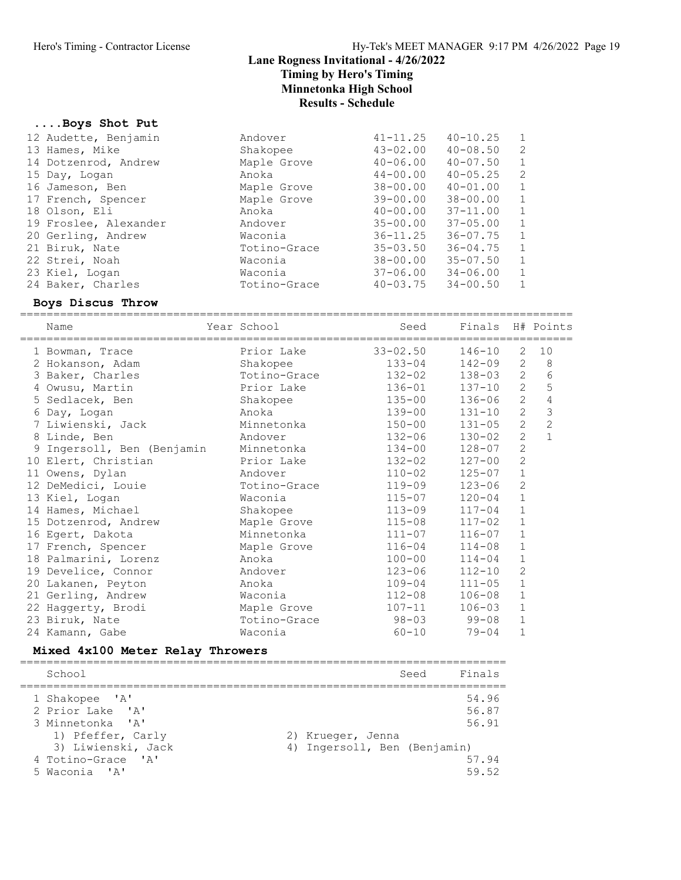### ....Boys Shot Put

| 12 Audette, Benjamin  | Andover      | $41 - 11.25$ | $40 - 10.25$ | 1            |
|-----------------------|--------------|--------------|--------------|--------------|
| 13 Hames, Mike        | Shakopee     | $43 - 02.00$ | $40 - 08.50$ | 2            |
| 14 Dotzenrod, Andrew  | Maple Grove  | $40 - 06.00$ | $40 - 07.50$ | 1            |
| 15 Day, Logan         | Anoka        | $44 - 00.00$ | $40 - 05.25$ | 2            |
| 16 Jameson, Ben       | Maple Grove  | $38 - 00.00$ | $40 - 01.00$ | 1            |
| 17 French, Spencer    | Maple Grove  | $39 - 00.00$ | $38 - 00.00$ | 1            |
| 18 Olson, Eli         | Anoka        | $40 - 00.00$ | $37 - 11.00$ | 1            |
| 19 Froslee, Alexander | Andover      | $35 - 00.00$ | $37 - 05.00$ | 1            |
| 20 Gerling, Andrew    | Waconia      | $36 - 11.25$ | $36 - 07.75$ | $\mathbf{1}$ |
| 21 Biruk, Nate        | Totino-Grace | $35 - 03.50$ | $36 - 04.75$ | 1            |
| 22 Strei, Noah        | Waconia      | $38 - 00.00$ | $35 - 07.50$ | 1            |
| 23 Kiel, Logan        | Waconia      | 37-06.00     | $34 - 06.00$ | 1            |
| 24 Baker, Charles     | Totino-Grace | $40 - 03.75$ | $34 - 00.50$ | 1            |

#### Boys Discus Throw

===================================================================================

|                                  | Name                       |  | Year School  |  | Seed         |  | Finals     |                | H# Points      |
|----------------------------------|----------------------------|--|--------------|--|--------------|--|------------|----------------|----------------|
|                                  | 1 Bowman, Trace            |  | Prior Lake   |  | $33 - 02.50$ |  | $146 - 10$ | 2              | 10             |
|                                  | 2 Hokanson, Adam           |  | Shakopee     |  | $133 - 04$   |  | 142-09     | 2              | 8              |
|                                  | 3 Baker, Charles           |  | Totino-Grace |  | $132 - 02$   |  | 138-03     | $\overline{c}$ | $6\,$          |
|                                  | 4 Owusu, Martin            |  | Prior Lake   |  | $136 - 01$   |  | $137 - 10$ | $\overline{2}$ | 5              |
|                                  | 5 Sedlacek, Ben            |  | Shakopee     |  | $135 - 00$   |  | $136 - 06$ | $\overline{2}$ | $\sqrt{4}$     |
|                                  | 6 Day, Logan               |  | Anoka        |  | 139-00       |  | $131 - 10$ | $\overline{2}$ | $\mathfrak{Z}$ |
|                                  | 7 Liwienski, Jack          |  | Minnetonka   |  | $150 - 00$   |  | $131 - 05$ | $\overline{2}$ | $\overline{c}$ |
|                                  | 8 Linde, Ben               |  | Andover      |  | $132 - 06$   |  | $130 - 02$ | $\overline{2}$ | $\mathbf{1}$   |
|                                  | 9 Ingersoll, Ben (Benjamin |  | Minnetonka   |  | $134 - 00$   |  | $128 - 07$ | $\overline{2}$ |                |
|                                  | 10 Elert, Christian        |  | Prior Lake   |  | 132-02       |  | $127 - 00$ | $\overline{2}$ |                |
|                                  | 11 Owens, Dylan            |  | Andover      |  | $110 - 02$   |  | $125 - 07$ | $1\,$          |                |
|                                  | 12 DeMedici, Louie         |  | Totino-Grace |  | $119 - 09$   |  | $123 - 06$ | $\overline{c}$ |                |
|                                  | 13 Kiel, Logan             |  | Waconia      |  | $115 - 07$   |  | $120 - 04$ | $\mathbf 1$    |                |
|                                  | 14 Hames, Michael          |  | Shakopee     |  | $113 - 09$   |  | $117 - 04$ | $\mathbf{1}$   |                |
|                                  | 15 Dotzenrod, Andrew       |  | Maple Grove  |  | $115 - 08$   |  | $117 - 02$ | $\mathbf{1}$   |                |
|                                  | 16 Egert, Dakota           |  | Minnetonka   |  | $111 - 07$   |  | $116 - 07$ | $\mathbf{1}$   |                |
|                                  | 17 French, Spencer         |  | Maple Grove  |  | $116 - 04$   |  | $114 - 08$ | $\mathbf{1}$   |                |
|                                  | 18 Palmarini, Lorenz       |  | Anoka        |  | $100 - 00$   |  | $114 - 04$ | $\mathbf{1}$   |                |
|                                  | 19 Develice, Connor        |  | Andover      |  | $123 - 06$   |  | $112 - 10$ | $\overline{2}$ |                |
|                                  | 20 Lakanen, Peyton         |  | Anoka        |  | $109 - 04$   |  | $111 - 05$ | $\mathbf{1}$   |                |
|                                  | 21 Gerling, Andrew         |  | Waconia      |  | $112 - 08$   |  | $106 - 08$ | $\mathbf 1$    |                |
|                                  | 22 Haggerty, Brodi         |  | Maple Grove  |  | $107 - 11$   |  | $106 - 03$ | $\mathbf{1}$   |                |
|                                  | 23 Biruk, Nate             |  | Totino-Grace |  | $98 - 03$    |  | $99 - 08$  | $\mathbf{1}$   |                |
|                                  | 24 Kamann, Gabe            |  | Waconia      |  | $60 - 10$    |  | $79 - 04$  | $\mathbf{1}$   |                |
| Mixed 4x100 Meter Relay Throwers |                            |  |              |  |              |  |            |                |                |
|                                  | School                     |  |              |  | Seed         |  | Finals     |                |                |

| $5 \times 1001$    | peeu<br>FILL S               |  |
|--------------------|------------------------------|--|
| 1 Shakopee 'A'     | 54.96                        |  |
| 2 Prior Lake 'A'   | 56.87                        |  |
| 3 Minnetonka 'A'   | 56.91                        |  |
| 1) Pfeffer, Carly  | 2) Krueger, Jenna            |  |
| 3) Liwienski, Jack | 4) Ingersoll, Ben (Benjamin) |  |
| 4 Totino-Grace 'A' | 57.94                        |  |
| 5 Waconia 'A'      | 59.52                        |  |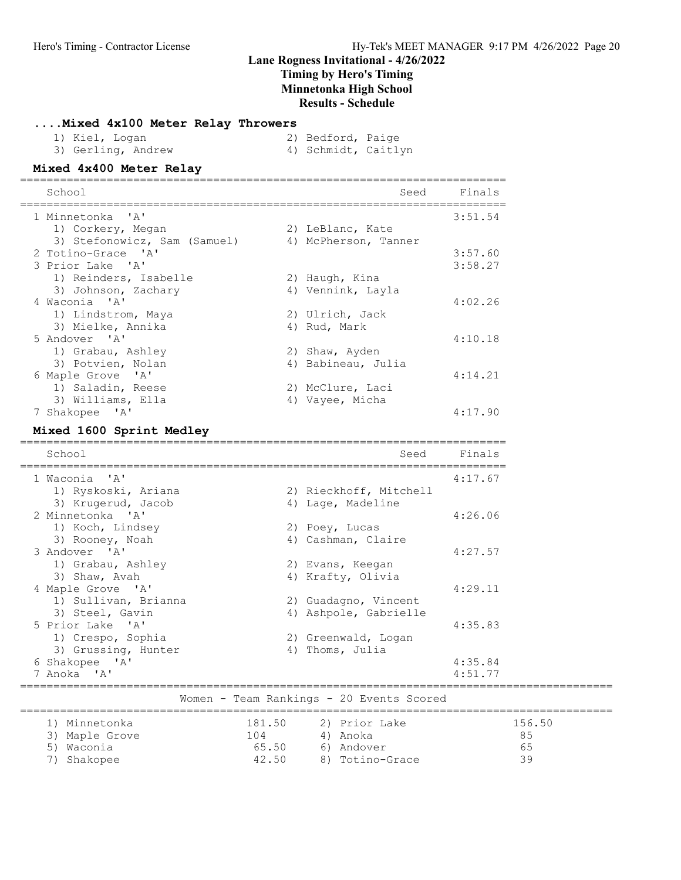#### ....Mixed 4x100 Meter Relay Throwers

| 1) Kiel, Logan     | 2) Bedford, Paige   |  |
|--------------------|---------------------|--|
| 3) Gerling, Andrew | 4) Schmidt, Caitlyn |  |

#### Mixed 4x400 Meter Relay =========================================================================

| School                       | Seed                 | Finals  |
|------------------------------|----------------------|---------|
| 1 Minnetonka 'A'             |                      | 3:51.54 |
| 1) Corkery, Megan            | 2) LeBlanc, Kate     |         |
| 3) Stefonowicz, Sam (Samuel) | 4) McPherson, Tanner |         |
| 2 Totino-Grace 'A'           |                      | 3:57.60 |
| 3 Prior Lake 'A'             |                      | 3:58.27 |
| 1) Reinders, Isabelle        | 2) Haugh, Kina       |         |
| 3) Johnson, Zachary          | 4) Vennink, Layla    |         |
| 4 Waconia 'A'                |                      | 4:02.26 |
| 1) Lindstrom, Maya           | 2) Ulrich, Jack      |         |
| 3) Mielke, Annika            | 4) Rud, Mark         |         |
| 5 Andover 'A'                |                      | 4:10.18 |
| 1) Grabau, Ashley            | 2) Shaw, Ayden       |         |
| 3) Potvien, Nolan            | 4) Babineau, Julia   |         |
| 6 Maple Grove 'A'            |                      | 4:14.21 |
| 1) Saladin, Reese            | 2) McClure, Laci     |         |
| 3) Williams, Ella            | 4) Vayee, Micha      |         |
| 7 Shakopee 'A'               |                      | 4:17.90 |

#### Mixed 1600 Sprint Medley

| School               |        | Seed                                     | Finals  |
|----------------------|--------|------------------------------------------|---------|
|                      |        |                                          |         |
| 1 Waconia 'A'        |        |                                          | 4:17.67 |
| 1) Ryskoski, Ariana  |        | 2) Rieckhoff, Mitchell                   |         |
| 3) Krugerud, Jacob   |        | 4) Lage, Madeline                        |         |
| 2 Minnetonka 'A'     |        |                                          | 4:26.06 |
| 1) Koch, Lindsey     |        | 2) Poey, Lucas                           |         |
| 3) Rooney, Noah      |        | 4) Cashman, Claire                       |         |
| 3 Andover 'A'        |        |                                          | 4:27.57 |
| 1) Grabau, Ashley    |        | 2) Evans, Keegan                         |         |
| 3) Shaw, Avah        |        | 4) Krafty, Olivia                        |         |
| 4 Maple Grove 'A'    |        |                                          | 4:29.11 |
| 1) Sullivan, Brianna |        | 2) Guadagno, Vincent                     |         |
| 3) Steel, Gavin      | 4)     | Ashpole, Gabrielle                       |         |
| 5 Prior Lake 'A'     |        |                                          | 4:35.83 |
| 1) Crespo, Sophia    |        | 2) Greenwald, Logan                      |         |
| 3) Grussing, Hunter  |        | 4) Thoms, Julia                          |         |
| 6 Shakopee 'A'       |        |                                          | 4:35.84 |
| 7 Anoka 'A'          |        |                                          | 4:51.77 |
|                      |        |                                          |         |
|                      |        | Women - Team Rankings - 20 Events Scored |         |
| 1) Minnetonka        | 181.50 | 2) Prior Lake                            | 156.50  |
| Maple Grove<br>3)    | 104    | 4) Anoka                                 | 85      |
| Waconia<br>5)        | 65.50  | 6) Andover                               | 65      |

7) Shakopee 42.50 8) Totino-Grace 39